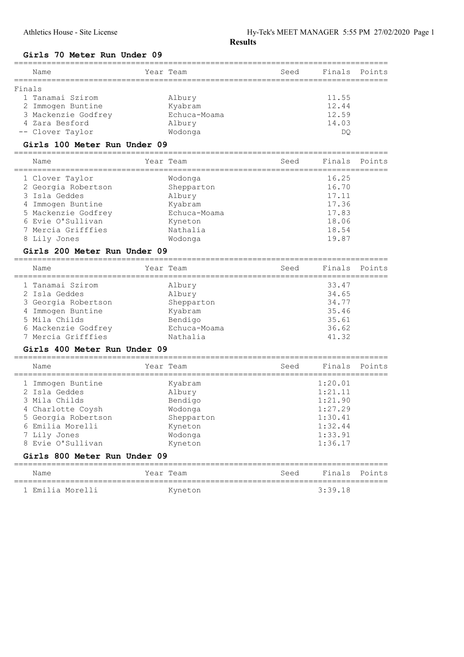## Girls 70 Meter Run Under 09

|        | Name                | Year Team    | Seed | Finals Points |  |
|--------|---------------------|--------------|------|---------------|--|
| Finals |                     |              |      |               |  |
|        | 1 Tanamai Szirom    | Albury       |      | 11.55         |  |
|        | 2 Immogen Buntine   | Kyabram      |      | 12.44         |  |
|        | 3 Mackenzie Godfrey | Echuca-Moama |      | 12.59         |  |
|        | 4 Zara Besford      | Albury       |      | 14.03         |  |
|        | -- Clover Taylor    | Wodonga      |      | DO            |  |
|        |                     |              |      |               |  |

================================================================================

## Girls 100 Meter Run Under 09

| Name                | Year Team    | Seed | Finals Points |  |
|---------------------|--------------|------|---------------|--|
| 1 Clover Taylor     | Wodonga      |      | 16.25         |  |
| 2 Georgia Robertson | Shepparton   |      | 16.70         |  |
| 3 Isla Geddes       | Albury       |      | 17.11         |  |
| 4 Immogen Buntine   | Kyabram      |      | 17.36         |  |
| 5 Mackenzie Godfrey | Echuca-Moama |      | 17.83         |  |
| 6 Evie O'Sullivan   | Kyneton      |      | 18.06         |  |
| 7 Mercia Grifffies  | Nathalia     |      | 18.54         |  |
| 8 Lily Jones        | Wodonga      |      | 19.87         |  |

## Girls 200 Meter Run Under 09

| Name                | Year Team    | Seed | Finals Points |  |
|---------------------|--------------|------|---------------|--|
| 1 Tanamai Szirom    | Albury       |      | 33.47         |  |
| 2 Isla Geddes       | Albury       |      | 34.65         |  |
| 3 Georgia Robertson | Shepparton   |      | 34.77         |  |
| 4 Immogen Buntine   | Kyabram      |      | 35.46         |  |
| 5 Mila Childs       | Bendigo      |      | 35.61         |  |
| 6 Mackenzie Godfrey | Echuca-Moama |      | 36.62         |  |
| 7 Mercia Grifffies  | Nathalia     |      | 41.32         |  |
|                     |              |      |               |  |

## Girls 400 Meter Run Under 09

| Year Team                                              | Seed | Finals                                              | Points |
|--------------------------------------------------------|------|-----------------------------------------------------|--------|
| Kyabram<br>Albury<br>Bendigo                           |      | 1:20.01<br>1:21.11<br>1:21.90                       |        |
| Wodonga<br>Shepparton<br>Kyneton<br>Wodonga<br>Kyneton |      | 1:27.29<br>1:30.41<br>1:32.44<br>1:33.91<br>1:36.17 |        |
|                                                        |      |                                                     |        |

| Name             | Year Team | Seed | Finals Points |  |
|------------------|-----------|------|---------------|--|
| 1 Emilia Morelli | Kyneton   |      | 3:39.18       |  |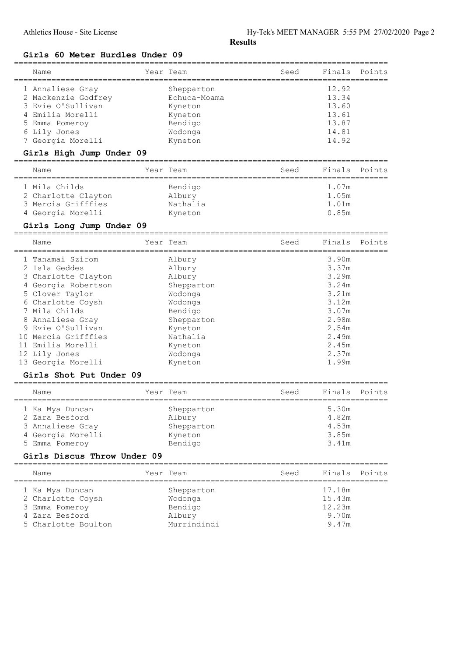## Girls 60 Meter Hurdles Under 09

| Name                                         | Year Team                            | Seed              | Finals | Points |
|----------------------------------------------|--------------------------------------|-------------------|--------|--------|
| 1 Annaliese Gray                             | Shepparton                           |                   | 12.92  |        |
| 2 Mackenzie Godfrey                          | Echuca-Moama                         |                   | 13.34  |        |
| 3 Evie O'Sullivan                            | Kyneton                              |                   | 13.60  |        |
| 4 Emilia Morelli                             | Kyneton                              |                   | 13.61  |        |
| 5 Emma Pomeroy                               | Bendigo                              |                   | 13.87  |        |
| 6 Lily Jones                                 | Wodonga                              |                   | 14.81  |        |
| 7 Georgia Morelli                            | Kyneton                              |                   | 14.92  |        |
| Girls High Jump Under 09                     |                                      |                   |        |        |
| =============================<br>Name        | Year Team                            | Seed              | Finals | Points |
| 1 Mila Childs                                | Bendigo                              |                   | 1.07m  |        |
| 2 Charlotte Clayton                          | Albury                               |                   | 1.05m  |        |
| 3 Mercia Grifffies                           | Nathalia                             |                   | 1.01m  |        |
| 4 Georgia Morelli                            | Kyneton                              |                   | 0.85m  |        |
|                                              |                                      |                   |        |        |
| Girls Long Jump Under 09                     |                                      |                   |        |        |
| Name                                         | Year Team                            | Seed              | Finals | Points |
| 1 Tanamai Szirom                             | Albury                               |                   | 3.90m  |        |
| 2 Isla Geddes                                | Albury                               |                   | 3.37m  |        |
| 3 Charlotte Clayton                          | Albury                               |                   | 3.29m  |        |
| 4 Georgia Robertson                          | Shepparton                           |                   | 3.24m  |        |
| 5 Clover Taylor                              | Wodonga                              |                   | 3.21m  |        |
| 6 Charlotte Coysh                            | Wodonga                              |                   | 3.12m  |        |
| 7 Mila Childs                                | Bendigo                              |                   | 3.07m  |        |
| 8 Annaliese Gray                             | Shepparton                           |                   | 2.98m  |        |
| 9 Evie O'Sullivan                            | Kyneton                              |                   | 2.54m  |        |
| 10 Mercia Grifffies                          | Nathalia                             |                   | 2.49m  |        |
| 11 Emilia Morelli                            | Kyneton                              |                   | 2.45m  |        |
| 12 Lily Jones                                | Wodonga                              |                   | 2.37m  |        |
| 13 Georgia Morelli                           | Kyneton                              |                   | 1.99m  |        |
| Girls Shot Put Under 09                      |                                      |                   |        |        |
| ____________________________________<br>Name | Year Team<br>:====================== | Seed<br>========= | Finals | Points |
| ======================<br>1 Ka Mya Duncan    | Shepparton                           |                   | 5.30m  |        |
| 2 Zara Besford                               | Albury                               |                   | 4.82m  |        |
| 3 Annaliese Gray                             | Shepparton                           |                   | 4.53m  |        |
| 4 Georgia Morelli                            | Kyneton                              |                   | 3.85m  |        |
| 5 Emma Pomeroy                               | Bendigo                              |                   | 3.41m  |        |
|                                              |                                      |                   |        |        |

## Girls Discus Throw Under 09

| Name                | Year Team   | Seed | Finals Points |  |
|---------------------|-------------|------|---------------|--|
| 1 Ka Mya Duncan     | Shepparton  |      | 17.18m        |  |
| 2 Charlotte Coysh   | Wodonga     |      | 15.43m        |  |
| 3 Emma Pomeroy      | Bendigo     |      | 12.23m        |  |
| 4 Zara Besford      | Albury      |      | 9.70m         |  |
| 5 Charlotte Boulton | Murrindindi |      | 9.47m         |  |
|                     |             |      |               |  |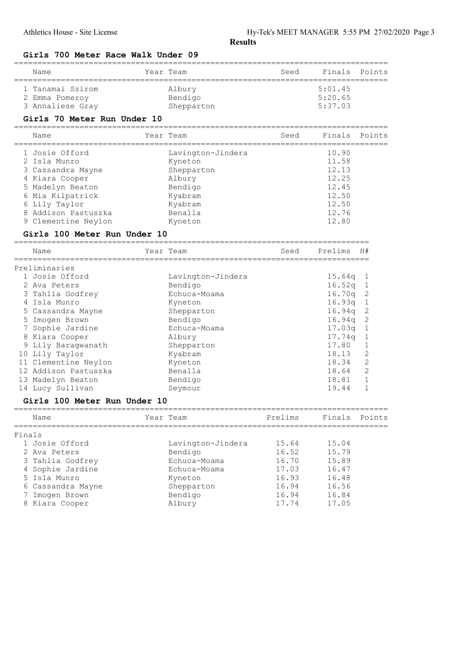## Girls 700 Meter Race Walk Under 09

| Name             | Year Team  | Seed    | Finals Points |
|------------------|------------|---------|---------------|
| 1 Tanamai Szirom | Albury     | 5:01.45 |               |
| 2 Emma Pomeroy   | Bendigo    | 5:20.65 |               |
| 3 Annaliese Gray | Shepparton | 5:37.03 |               |

## Girls 70 Meter Run Under 10

================================================================================ Name Year Team Seed Finals Points

| Name                | Year Team         | Seed | Finals | Points |
|---------------------|-------------------|------|--------|--------|
| 1 Josie Offord      | Lavington-Jindera |      | 10.90  |        |
| 2 Isla Munro        | Kyneton           |      | 11.58  |        |
| 3 Cassandra Mayne   | Shepparton        |      | 12.13  |        |
| 4 Kiara Cooper      | Albury            |      | 12.25  |        |
| 5 Madelyn Beaton    | Bendigo           |      | 12.45  |        |
| 6 Mia Kilpatrick    | Kyabram           |      | 12.50  |        |
| 6 Lily Taylor       | Kyabram           |      | 12.50  |        |
| 8 Addison Pastuszka | Benalla           |      | 12.76  |        |
| 9 Clementine Neylon | Kyneton           |      | 12.80  |        |
|                     |                   |      |        |        |

#### Girls 100 Meter Run Under 10

============================================================================

| Name                 | Year Team         | Seed | Prelims            | H#             |
|----------------------|-------------------|------|--------------------|----------------|
| Preliminaries        |                   |      |                    |                |
| 1 Josie Offord       | Lavington-Jindera |      | 15.64g             |                |
| 2 Ava Peters         | Bendigo           |      | $16.52q$ 1         |                |
| 3 Tahlia Godfrey     | Echuca-Moama      |      | 16.70q             | - 2            |
| 4 Isla Munro         | Kyneton           |      | 16.93q             | $\mathbf{1}$   |
| 5 Cassandra Mayne    | Shepparton        |      | 16.94a             | -2             |
| 5 Imogen Brown       | Bendigo           |      | 16.94a             | - 2            |
| Sophie Jardine       | Echuca-Moama      |      | 17.03 <sub>q</sub> |                |
| 8 Kiara Cooper       | Albury            |      | 17.74g             | -1             |
| 9 Lily Baraqwanath   | Shepparton        |      | 17.80              | 1              |
| 10 Lily Taylor       | Kyabram           |      | 18.13              | $\overline{2}$ |
| 11 Clementine Neylon | Kyneton           |      | 18.34              | 2              |
| 12 Addison Pastuszka | Benalla           |      | 18.64              | 2              |
| 13 Madelyn Beaton    | Bendigo           |      | 18.81              | 1              |
| 14 Lucy Sullivan     | Seymour           |      | 19.44              |                |

## Girls 100 Meter Run Under 10

|        | Name              | Year Team         | Prelims | Finals Points |  |
|--------|-------------------|-------------------|---------|---------------|--|
| Finals |                   |                   |         |               |  |
|        | 1 Josie Offord    | Lavington-Jindera | 15.64   | 15.04         |  |
|        | 2 Ava Peters      | Bendigo           | 16.52   | 15.79         |  |
|        | 3 Tahlia Godfrey  | Echuca-Moama      | 16.70   | 15.89         |  |
|        | 4 Sophie Jardine  | Echuca-Moama      | 17.03   | 16.47         |  |
|        | 5 Isla Munro      | Kyneton           | 16.93   | 16.48         |  |
|        | 6 Cassandra Mayne | Shepparton        | 16.94   | 16.56         |  |
|        | 7 Imogen Brown    | Bendigo           | 16.94   | 16.84         |  |
|        | 8 Kiara Cooper    | Albury            | 17.74   | 17.05         |  |

================================================================================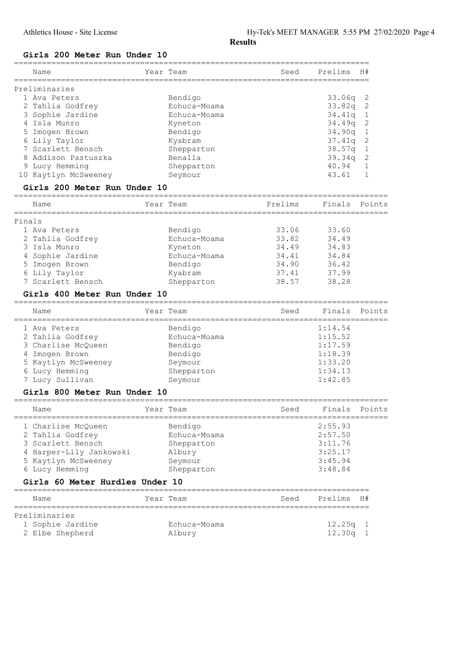## Girls 200 Meter Run Under 10

|        | Name                                           | Year Team                      | Seed                   | Prelims             | H#                        |
|--------|------------------------------------------------|--------------------------------|------------------------|---------------------|---------------------------|
|        |                                                |                                |                        |                     |                           |
|        | Preliminaries                                  |                                |                        |                     |                           |
|        | 1 Ava Peters                                   | Bendigo                        |                        | 33.06q              | $\mathbf{2}$              |
|        | 2 Tahlia Godfrey                               | Echuca-Moama                   |                        | 33.82q              | $\sqrt{2}$                |
|        | 3 Sophie Jardine                               | Echuca-Moama                   |                        | 34.41q              | $\mathbf{1}$              |
|        | 4 Isla Munro                                   | Kyneton                        |                        | 34.49q              | 2                         |
| 5      | Imogen Brown                                   | Bendigo                        |                        | 34.90q              | $\mathbf 1$               |
|        | 6 Lily Taylor<br>7 Scarlett Bensch             | Kyabram                        |                        | 37.41q              | $\overline{c}$<br>$\,1\,$ |
|        | 8 Addison Pastuszka                            | Shepparton<br>Benalla          |                        | 38.57q<br>39.34q    | $\overline{c}$            |
|        | 9 Lucy Hemming                                 | Shepparton                     |                        | 40.94               | $\mathbf 1$               |
|        | 10 Kaytlyn McSweeney                           | Seymour                        |                        | 43.61               | $\mathbf 1$               |
|        | Girls 200 Meter Run Under 10                   |                                |                        |                     |                           |
|        | --------------------------------------<br>Name | Year Team                      | Prelims                | Finals              | Points                    |
|        |                                                |                                |                        | ------------------- |                           |
| Finals |                                                |                                |                        |                     |                           |
|        | 1 Ava Peters                                   | Bendigo                        | 33.06                  | 33.60               |                           |
|        | 2 Tahlia Godfrey                               | Echuca-Moama                   | 33.82                  | 34.49               |                           |
|        | 3 Isla Munro                                   | Kyneton                        | 34.49                  | 34.83               |                           |
|        | 4 Sophie Jardine                               | Echuca-Moama                   | 34.41                  | 34.84               |                           |
|        | 5 Imogen Brown                                 | Bendigo                        | 34.90                  | 36.42               |                           |
|        | 6 Lily Taylor<br>7 Scarlett Bensch             | Kyabram                        | 37.41                  | 37.99               |                           |
|        |                                                | Shepparton                     | 38.57                  | 38.28               |                           |
|        | Girls 400 Meter Run Under 10                   |                                |                        |                     |                           |
|        | Name<br>--------------------                   | Year Team<br>================= | Seed<br>:============= | Finals              | Points                    |
|        | 1 Ava Peters                                   | Bendigo                        |                        | 1:14.54             |                           |
|        | 2 Tahlia Godfrey                               | Echuca-Moama                   |                        | 1:15.52             |                           |
|        | 3 Charlise McQueen                             | Bendigo                        |                        | 1:17.59             |                           |
|        | 4 Imogen Brown                                 | Bendigo                        |                        | 1:18.39             |                           |
|        | 5 Kaytlyn McSweeney                            | Seymour                        |                        | 1:33.20             |                           |
|        | 6 Lucy Hemming                                 | Shepparton                     |                        | 1:34.13             |                           |
|        | 7 Lucy Sullivan                                | Seymour                        |                        | 1:42.85             |                           |
|        | Girls 800 Meter Run Under 10                   |                                |                        |                     |                           |
|        | ------------------------------<br>Name         | Year Team                      | Seed                   | Finals Points       |                           |
|        | 1 Charlise McQueen                             | Bendigo                        |                        | 2:55.93             |                           |
|        | 2 Tahlia Godfrey                               | Echuca-Moama                   |                        | 2:57.50             |                           |
|        | 3 Scarlett Bensch                              | Shepparton                     |                        | 3:11.76             |                           |
|        | 4 Harper-Lily Jankowski                        | Albury                         |                        | 3:25.17             |                           |
|        | 5 Kaytlyn McSweeney                            | Seymour                        |                        | 3:45.94             |                           |
|        | 6 Lucy Hemming                                 | Shepparton                     |                        | 3:48.84             |                           |
|        | Girls 60 Meter Hurdles Under 10                |                                |                        |                     |                           |
|        | Name                                           | Year Team                      | Seed                   | Prelims H#          |                           |
|        |                                                |                                |                        |                     |                           |
|        | Preliminaries                                  |                                |                        |                     |                           |
|        | 1 Sophie Jardine                               | Echuca-Moama                   |                        | $12.25q$ 1          |                           |
|        | 2 Elbe Shepherd                                | Albury                         |                        | 12.30q 1            |                           |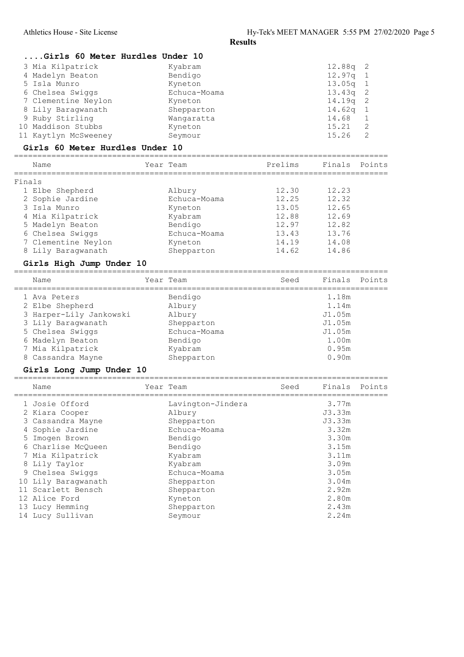|        | Girls 60 Meter Hurdles Under 10        |               |                                   |                                                   |                    |                |
|--------|----------------------------------------|---------------|-----------------------------------|---------------------------------------------------|--------------------|----------------|
|        | 3 Mia Kilpatrick                       |               | Kyabram                           |                                                   | 12.88q             | 2              |
|        | 4 Madelyn Beaton                       |               | Bendigo                           |                                                   | 12.97q             | 1              |
|        | 5 Isla Munro                           |               | Kyneton                           |                                                   | 13.05q             | 1              |
|        | 6 Chelsea Swiggs                       |               | Echuca-Moama                      |                                                   | 13.43q             | $\mathbf 2$    |
|        | 7 Clementine Neylon                    |               | Kyneton                           |                                                   | 14.19q             | 2              |
|        | 8 Lily Baragwanath                     |               | Shepparton                        |                                                   | 14.62 <sub>q</sub> | 1              |
|        | 9 Ruby Stirling                        |               | Wangaratta                        |                                                   | 14.68              | 1              |
|        | 10 Maddison Stubbs                     |               | Kyneton                           |                                                   | 15.21              | $\overline{2}$ |
|        | 11 Kaytlyn McSweeney                   |               | Seymour                           |                                                   | 15.26              | 2              |
|        | <b>Girls 60 Meter Hurdles Under 10</b> | ============= |                                   |                                                   |                    |                |
|        | Name<br>===========                    |               | Year Team<br>:=================== | Prelims<br>-------------------------------------- | Finals             | Points         |
| Finals |                                        |               |                                   |                                                   |                    |                |
|        | 1 Elbe Shepherd                        |               | Albury                            | 12.30                                             | 12.23              |                |
|        | 2 Sophie Jardine                       |               | Echuca-Moama                      | 12.25                                             | 12.32              |                |
|        | 3 Isla Munro                           |               | Kyneton                           | 13.05                                             | 12.65              |                |
|        | 4 Mia Kilpatrick                       |               | Kyabram                           | 12.88                                             | 12.69              |                |
|        | 5 Madelyn Beaton                       |               | Bendigo                           | 12.97                                             | 12.82              |                |
|        | 6 Chelsea Swiggs                       |               | Echuca-Moama                      | 13.43                                             | 13.76              |                |
|        | 7 Clementine Neylon                    |               | Kyneton                           | 14.19                                             | 14.08              |                |
|        | 8 Lily Baragwanath                     |               | Shepparton                        | 14.62                                             | 14.86              |                |
|        | Girls High Jump Under 10               |               |                                   |                                                   |                    |                |
|        |                                        |               |                                   |                                                   |                    |                |
|        | Name                                   |               | Year Team                         | Seed                                              | Finals             | Points         |
|        | 1 Ava Peters                           |               | Bendigo                           |                                                   | 1.18m              |                |
|        | 2 Elbe Shepherd                        |               | Albury                            |                                                   | 1.14m              |                |
|        | 3 Harper-Lily Jankowski                |               | Albury                            |                                                   | J1.05m             |                |
|        | 3 Lily Baragwanath                     |               | Shepparton                        |                                                   | J1.05m             |                |
|        | 5 Chelsea Swiggs                       |               | Echuca-Moama                      |                                                   | J1.05m             |                |
|        | 6 Madelyn Beaton                       |               | Bendigo                           |                                                   | 1.00m              |                |
|        | 7 Mia Kilpatrick                       |               | Kyabram                           |                                                   | 0.95m              |                |
|        | 8 Cassandra Mayne                      |               | Shepparton                        |                                                   | 0.90 <sub>m</sub>  |                |
|        |                                        |               |                                   |                                                   |                    |                |
|        | Girls Long Jump Under 10               |               |                                   |                                                   |                    |                |
|        | Name                                   |               | Year Team                         | Seed                                              | Finals             | Points         |
|        | 1 Josie Offord                         |               | Lavington-Jindera                 |                                                   | 3.77m              |                |
|        | 2 Kiara Cooper                         |               | Albury                            |                                                   | J3.33m             |                |
|        | 3 Cassandra Mayne                      |               | Shepparton                        |                                                   | J3.33m             |                |
|        | 4 Sophie Jardine                       |               | Echuca-Moama                      |                                                   | 3.32m              |                |
|        | 5 Imogen Brown                         |               | Bendigo                           |                                                   | 3.30m              |                |
|        | 6 Charlise McQueen                     |               | Bendigo                           |                                                   | 3.15m              |                |
|        | 7 Mia Kilpatrick                       |               | Kyabram                           |                                                   | 3.11m              |                |
|        | 8 Lily Taylor                          |               | Kyabram                           |                                                   | 3.09m              |                |
|        | 9 Chelsea Swiggs                       |               | Echuca-Moama                      |                                                   | 3.05m              |                |
|        | 10 Lily Baragwanath                    |               | Shepparton                        |                                                   | 3.04m              |                |
|        | 11 Scarlett Bensch                     |               | Shepparton                        |                                                   | 2.92m              |                |
|        | 12 Alice Ford                          |               | Kyneton                           |                                                   | 2.80m              |                |
|        |                                        |               |                                   |                                                   |                    |                |
|        | 13 Lucy Hemming                        |               | Shepparton                        |                                                   | 2.43m              |                |
|        | 14 Lucy Sullivan                       |               | Seymour                           |                                                   | 2.24m              |                |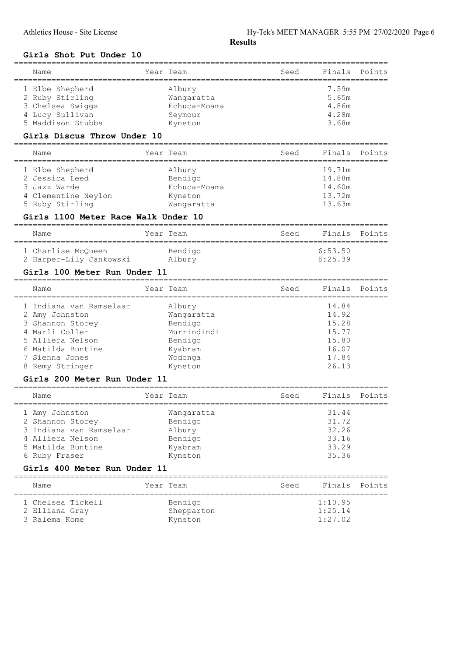## Girls Shot Put Under 10

| Name                                        | Year Team                  | Seed<br>;========================= | Finals  | Points |
|---------------------------------------------|----------------------------|------------------------------------|---------|--------|
| 1 Elbe Shepherd                             | Albury                     |                                    | 7.59m   |        |
| 2 Ruby Stirling                             | Wangaratta                 |                                    | 5.65m   |        |
| 3 Chelsea Swiggs                            | Echuca-Moama               |                                    | 4.86m   |        |
| 4 Lucy Sullivan                             | Seymour                    |                                    | 4.28m   |        |
| 5 Maddison Stubbs                           | Kyneton                    |                                    | 3.68m   |        |
| Girls Discus Throw Under 10                 |                            |                                    |         |        |
| Name                                        | Year Team                  | Seed                               | Finals  | Points |
| ========================<br>1 Elbe Shepherd | ===============<br>Albury  | ============================       | 19.71m  |        |
| 2 Jessica Leed                              | Bendigo                    |                                    | 14.88m  |        |
| Jazz Warde<br>З                             | Echuca-Moama               |                                    | 14.60m  |        |
| 4 Clementine Neylon                         | Kyneton                    |                                    | 13.72m  |        |
| 5 Ruby Stirling                             | Wangaratta                 |                                    | 13.63m  |        |
| Girls 1100 Meter Race Walk Under 10         |                            |                                    |         |        |
| Name                                        | Year Team                  | Seed                               | Finals  | Points |
| 1 Charlise McQueen                          | Bendigo                    |                                    | 6:53.50 |        |
| 2 Harper-Lily Jankowski                     | Albury                     |                                    | 8:25.39 |        |
|                                             |                            |                                    |         |        |
| Girls 100 Meter Run Under 11                |                            | -----------------------------      |         |        |
| Name                                        | Year Team                  | Seed                               | Finals  | Points |
| 1 Indiana van Ramselaar                     | Albury                     |                                    | 14.84   |        |
| 2 Amy Johnston                              | Wangaratta                 |                                    | 14.92   |        |
| Shannon Storey<br>З                         | Bendigo                    |                                    | 15.28   |        |
| 4 Marli Coller                              | Murrindindi                |                                    | 15.77   |        |
| 5 Alliera Nelson                            | Bendigo                    |                                    | 15.80   |        |
| 6 Matilda Buntine                           | Kyabram                    |                                    | 16.07   |        |
| 7 Sienna Jones                              | Wodonga                    |                                    | 17.84   |        |
| 8 Remy Stringer                             | Kyneton                    |                                    | 26.13   |        |
| Girls 200 Meter Run Under 11                | ============               |                                    |         |        |
| Name                                        | Year Team<br>:============ | Seed<br>___________                | Finals  | Points |
| 1 Amy Johnston                              | Wangaratta                 |                                    | 31.44   |        |
| 2 Shannon Storey                            | Bendigo                    |                                    | 31.72   |        |
| 3 Indiana van Ramselaar                     | Albury                     |                                    | 32.26   |        |
| 4 Alliera Nelson                            | Bendigo                    |                                    | 33.16   |        |
| 5 Matilda Buntine                           | Kyabram                    |                                    | 33.29   |        |
| 6 Ruby Fraser                               | Kyneton                    |                                    | 35.36   |        |
| Girls 400 Meter Run Under 11                |                            |                                    |         |        |
| Name                                        | Year Team                  | Seed                               | Finals  | Points |
| 1 Chelsea Tickell                           | Bendigo                    |                                    | 1:10.95 |        |
| 2 Elliana Gray                              | Shepparton                 |                                    | 1:25.14 |        |
| 3 Ralema Kome                               | Kyneton                    |                                    | 1:27.02 |        |
|                                             |                            |                                    |         |        |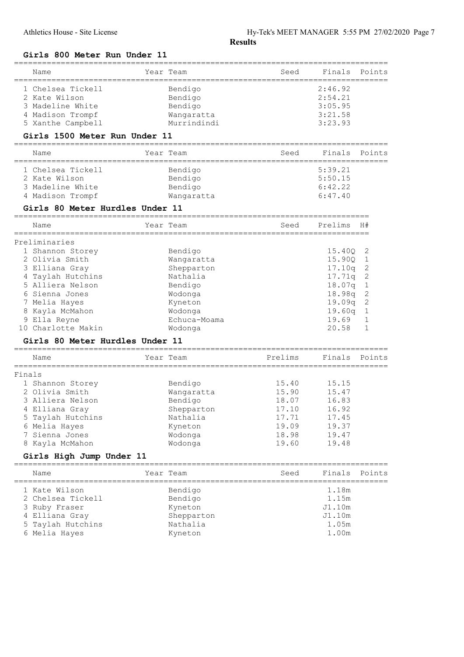Girls 800 Meter Run Under 11

|        | Name                            | Year Team                 | Seed    | Finals  | Points       |
|--------|---------------------------------|---------------------------|---------|---------|--------------|
|        |                                 |                           |         |         |              |
|        | 1 Chelsea Tickell               | Bendigo                   |         | 2:46.92 |              |
|        | 2 Kate Wilson                   | Bendigo                   |         | 2:54.21 |              |
|        | 3 Madeline White                | Bendigo                   |         | 3:05.95 |              |
|        | 4 Madison Trompf                | Wangaratta                |         | 3:21.58 |              |
|        | 5 Xanthe Campbell               | Murrindindi               |         | 3:23.93 |              |
|        | Girls 1500 Meter Run Under 11   |                           |         |         |              |
|        | Name                            | Year Team                 | Seed    | Finals  | Points       |
|        | 1 Chelsea Tickell               | Bendigo                   |         | 5:39.21 |              |
|        | 2 Kate Wilson                   | Bendigo                   |         | 5:50.15 |              |
|        | 3 Madeline White                | Bendigo                   |         | 6:42.22 |              |
|        | 4 Madison Trompf                | Wangaratta                |         | 6:47.40 |              |
|        | Girls 80 Meter Hurdles Under 11 |                           |         |         |              |
|        | Name                            | Year Team                 | Seed    | Prelims | H#           |
|        | =======================         | ========================= |         |         |              |
|        | Preliminaries                   |                           |         |         |              |
|        | 1 Shannon Storey                | Bendigo                   |         | 15.40Q  | 2            |
|        | 2 Olivia Smith                  | Wangaratta                |         | 15.90Q  | 1            |
|        | 3 Elliana Gray                  | Shepparton                |         | 17.10q  | $\mathbf{2}$ |
|        | 4 Taylah Hutchins               | Nathalia                  |         | 17.71q  | 2            |
|        | 5 Alliera Nelson                | Bendigo                   |         | 18.07q  | $\,1\,$      |
|        | 6 Sienna Jones                  | Wodonga                   |         | 18.98q  | $\mathbf{2}$ |
|        | 7 Melia Hayes                   | Kyneton                   |         | 19.09q  | $\mathbf{2}$ |
|        | 8 Kayla McMahon                 | Wodonga                   |         | 19.60q  | 1            |
|        | 9 Ella Reyne                    | Echuca-Moama              |         | 19.69   | 1            |
|        | 10 Charlotte Makin              | Wodonga                   |         | 20.58   | 1            |
|        | Girls 80 Meter Hurdles Under 11 |                           |         |         |              |
|        | Name                            | Year Team                 | Prelims | Finals  | Points       |
|        |                                 |                           |         |         |              |
| Finals |                                 |                           |         |         |              |
|        | 1 Shannon Storey                | Bendigo                   | 15.40   | 15.15   |              |
|        | 2 Olivia Smith                  | Wangaratta                | 15.90   | 15.47   |              |
|        | 3 Alliera Nelson                | Bendigo                   | 18.07   | 16.83   |              |
|        | 4 Elliana Gray                  | Shepparton                | 17.10   | 16.92   |              |
|        | 5 Taylah Hutchins               | Nathalia                  | 17.71   | 17.45   |              |
|        | 6 Melia Hayes                   | Kyneton                   | 19.09   | 19.37   |              |
|        | 7 Sienna Jones                  | Wodonga                   | 18.98   | 19.47   |              |
|        | 8 Kayla McMahon                 | Wodonga                   | 19.60   | 19.48   |              |
|        | Girls High Jump Under 11        |                           |         |         |              |
|        | Name                            | Year Team                 | Seed    | Finals  | Points       |
|        | 1 Kate Wilson                   | Bendigo                   |         | 1.18m   |              |
|        | 2 Chelsea Tickell               | Bendigo                   |         | 1.15m   |              |
|        | 3 Ruby Fraser                   | Kyneton                   |         | J1.10m  |              |
|        | 4 Elliana Gray                  | Shepparton                |         | J1.10m  |              |
|        | 5 Taylah Hutchins               | Nathalia                  |         | 1.05m   |              |
|        | 6 Melia Hayes                   | Kyneton                   |         | 1.00m   |              |
|        |                                 |                           |         |         |              |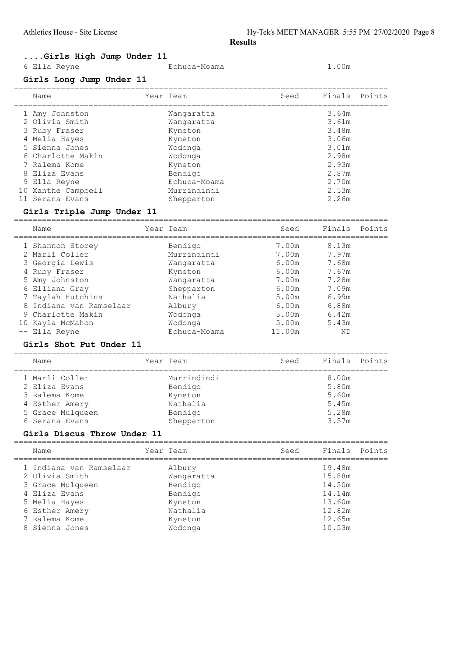Echuca-Moama 1.00m

## ....Girls High Jump Under 11

|  |  | 6 Ella Reyne |  |  |
|--|--|--------------|--|--|
|--|--|--------------|--|--|

## Girls Long Jump Under 11

| Name               | Year Team    | Seed | Finals Points |  |
|--------------------|--------------|------|---------------|--|
| 1 Amy Johnston     | Wangaratta   |      | 3.64m         |  |
| 2 Olivia Smith     | Wangaratta   |      | 3.61m         |  |
| 3 Ruby Fraser      | Kyneton      |      | 3.48m         |  |
| 4 Melia Hayes      | Kyneton      |      | 3.06m         |  |
| 5 Sienna Jones     | Wodonga      |      | 3.01m         |  |
| 6 Charlotte Makin  | Wodonga      |      | 2.98m         |  |
| 7 Ralema Kome      | Kyneton      |      | 2.93m         |  |
| 8 Eliza Evans      | Bendigo      |      | 2.87m         |  |
| 9 Ella Reyne       | Echuca-Moama |      | 2.70m         |  |
| 10 Xanthe Campbell | Murrindindi  |      | 2.53m         |  |
| 11 Serana Evans    | Shepparton   |      | 2.26m         |  |
|                    |              |      |               |  |

## Girls Triple Jump Under 11

|    | Name                    | Year Team    | Seed   | Finals | Points |
|----|-------------------------|--------------|--------|--------|--------|
|    | 1 Shannon Storey        | Bendigo      | 7.00m  | 8.13m  |        |
|    | 2 Marli Coller          | Murrindindi  | 7.00m  | 7.97m  |        |
|    | 3 Georgia Lewis         | Wangaratta   | 6.00m  | 7.68m  |        |
|    | 4 Ruby Fraser           | Kyneton      | 6.00m  | 7.67m  |        |
|    | 5 Amy Johnston          | Wangaratta   | 7.00m  | 7.28m  |        |
|    | 6 Elliana Gray          | Shepparton   | 6.00m  | 7.09m  |        |
|    | 7 Taylah Hutchins       | Nathalia     | 5.00m  | 6.99m  |        |
|    | 8 Indiana van Ramselaar | Albury       | 6.00m  | 6.88m  |        |
|    | 9 Charlotte Makin       | Wodonga      | 5.00m  | 6.42m  |        |
| 10 | Kayla McMahon           | Wodonga      | 5.00m  | 5.43m  |        |
|    | -- Ella Reyne           | Echuca-Moama | 11.00m | ΝD     |        |

## Girls Shot Put Under 11

| Name             | Year Team   | Seed | Finals Points |  |
|------------------|-------------|------|---------------|--|
| 1 Marli Coller   | Murrindindi |      | 8.00m         |  |
| 2 Eliza Evans    | Bendigo     |      | 5.80m         |  |
| 3 Ralema Kome    | Kyneton     |      | 5.60m         |  |
| 4 Esther Amery   | Nathalia    |      | 5.45m         |  |
| 5 Grace Mulqueen | Bendigo     |      | 5.28m         |  |
| 6 Serana Evans   | Shepparton  |      | 3.57m         |  |

#### Girls Discus Throw Under 11

|  | Name                    | Year Team  | Seed |        | Finals Points |
|--|-------------------------|------------|------|--------|---------------|
|  | 1 Indiana van Ramselaar | Albury     |      | 19.48m |               |
|  | 2 Olivia Smith          | Wangaratta |      | 15.88m |               |
|  | 3 Grace Mulqueen        | Bendigo    |      | 14.50m |               |
|  | 4 Eliza Evans           | Bendigo    |      | 14.14m |               |
|  | 5 Melia Hayes           | Kyneton    |      | 13.60m |               |
|  | 6 Esther Amery          | Nathalia   |      | 12.82m |               |
|  | 7 Ralema Kome           | Kyneton    |      | 12.65m |               |
|  | 8 Sienna Jones          | Wodonga    |      | 10.53m |               |
|  |                         |            |      |        |               |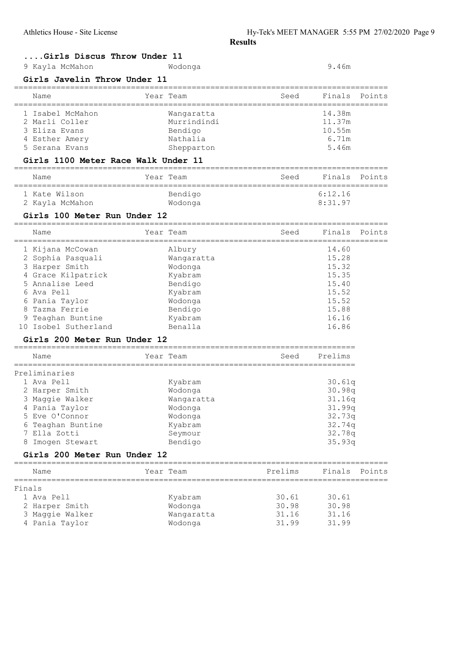## ....Girls Discus Throw Under 11

| 9 Kayla McMahon | Wodonga | 9.46m |
|-----------------|---------|-------|
|-----------------|---------|-------|

#### Girls Javelin Throw Under 11

| Name             | Year Team   | Seed | Finals Points |  |
|------------------|-------------|------|---------------|--|
| 1 Isabel McMahon | Wangaratta  |      | 14.38m        |  |
| 2 Marli Coller   | Murrindindi |      | 11.37m        |  |
| 3 Eliza Evans    | Bendigo     |      | 10.55m        |  |
| 4 Esther Amery   | Nathalia    |      | 6.71m         |  |
| 5 Serana Evans   | Shepparton  |      | 5.46m         |  |
|                  |             |      |               |  |

## Girls 1100 Meter Race Walk Under 11

| Name                             | Year Team          | Seed | Finals Points      |  |
|----------------------------------|--------------------|------|--------------------|--|
| 1 Kate Wilson<br>2 Kayla McMahon | Bendigo<br>Wodonga |      | 6:12.16<br>8:31.97 |  |

## Girls 100 Meter Run Under 12

| Name                 |            | Seed      | Finals Points |  |
|----------------------|------------|-----------|---------------|--|
| 1 Kijana McCowan     | Albury     |           | 14.60         |  |
| 2 Sophia Pasquali    | Wangaratta |           | 15.28         |  |
| 3 Harper Smith       | Wodonga    |           | 15.32         |  |
| 4 Grace Kilpatrick   | Kyabram    |           | 15.35         |  |
| 5 Annalise Leed      | Bendigo    |           | 15.40         |  |
| 6 Ava Pell           | Kyabram    |           | 15.52         |  |
| 6 Pania Taylor       | Wodonga    |           | 15.52         |  |
| Tazma Ferrie         | Bendigo    |           | 15.88         |  |
| 9 Teaghan Buntine    | Kyabram    |           | 16.16         |  |
| 10 Isobel Sutherland | Benalla    |           | 16.86         |  |
|                      |            | Year Team |               |  |

#### Girls 200 Meter Run Under 12

|               | Name              |  | Year Team  | Seed | Prelims |  |  |  |
|---------------|-------------------|--|------------|------|---------|--|--|--|
| Preliminaries |                   |  |            |      |         |  |  |  |
|               | 1 Ava Pell        |  | Kyabram    |      | 30.61q  |  |  |  |
|               | 2 Harper Smith    |  | Wodonga    |      | 30.98q  |  |  |  |
|               | 3 Maggie Walker   |  | Wangaratta |      | 31.16q  |  |  |  |
|               | 4 Pania Taylor    |  | Wodonga    |      | 31.99q  |  |  |  |
|               | 5 Eve O'Connor    |  | Wodonga    |      | 32.73q  |  |  |  |
|               | 6 Teaghan Buntine |  | Kyabram    |      | 32.74q  |  |  |  |
|               | 7 Ella Zotti      |  | Seymour    |      | 32.78q  |  |  |  |
| 8             | Imogen Stewart    |  | Bendigo    |      | 35.93q  |  |  |  |

=========================================================================

#### Girls 200 Meter Run Under 12

| Name            | Year Team  | Prelims | Finals | Points |
|-----------------|------------|---------|--------|--------|
| Finals          |            |         |        |        |
| 1 Ava Pell      | Kyabram    | 30.61   | 30.61  |        |
| 2 Harper Smith  | Wodonga    | 30.98   | 30.98  |        |
| 3 Maggie Walker | Wangaratta | 31.16   | 31.16  |        |
| 4 Pania Taylor  | Wodonga    | 31.99   | 31.99  |        |
|                 |            |         |        |        |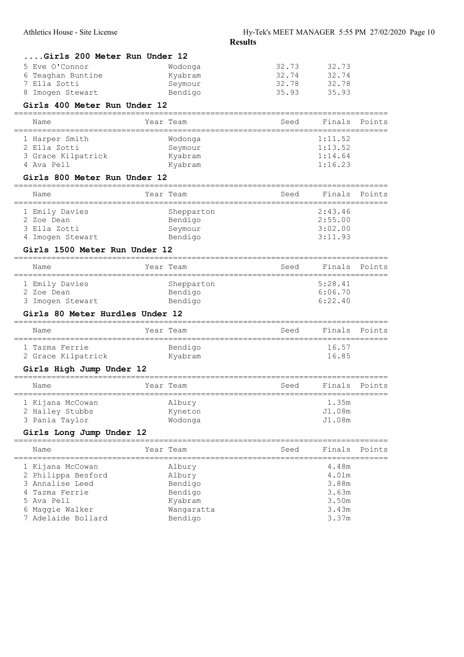....Girls 200 Meter Run Under 12

| 5 Eve O'Connor<br>6 Teaghan Buntine<br>7 Ella Zotti<br>8 Imogen Stewart<br>Girls 400 Meter Run Under 12                            | Wodonga<br>Kyabram<br>Seymour<br>Bendigo                                   | 32.73<br>32.74<br>32.78<br>35.93 | 32.73<br>32.74<br>32.78<br>35.93                            |        |
|------------------------------------------------------------------------------------------------------------------------------------|----------------------------------------------------------------------------|----------------------------------|-------------------------------------------------------------|--------|
| Name                                                                                                                               | Year Team                                                                  | Seed                             | Finals                                                      | Points |
| 1 Harper Smith<br>2 Ella Zotti<br>3 Grace Kilpatrick<br>4 Ava Pell<br>Girls 800 Meter Run Under 12                                 | Wodonga<br>Seymour<br>Kyabram<br>Kyabram                                   |                                  | 1:11.52<br>1:13.52<br>1:14.64<br>1:16.23                    |        |
| ____________________________________<br>Name                                                                                       | Year Team                                                                  | Seed                             | Finals                                                      | Points |
| ======================<br>1 Emily Davies<br>2 Zoe Dean<br>3 Ella Zotti<br>4 Imogen Stewart<br>Girls 1500 Meter Run Under 12        | Shepparton<br>Bendigo<br>Seymour<br>Bendigo                                |                                  | 2:43.46<br>2:55.00<br>3:02.00<br>3:11.93                    |        |
| Name                                                                                                                               | Year Team                                                                  | Seed                             | Finals                                                      | Points |
| 1 Emily Davies<br>2 Zoe Dean<br>3 Imogen Stewart<br>Girls 80 Meter Hurdles Under 12                                                | Shepparton<br>Bendigo<br>Bendigo                                           |                                  | 5:28.41<br>6:06.70<br>6:22.40                               |        |
| Name                                                                                                                               | Year Team                                                                  | Seed                             | Finals                                                      | Points |
| 1 Tazma Ferrie<br>2 Grace Kilpatrick<br>Girls High Jump Under 12                                                                   | Bendigo<br>Kyabram                                                         |                                  | 16.57<br>16.85                                              |        |
| Name                                                                                                                               | Year Team                                                                  | Seed                             | Finals                                                      | Points |
| 1 Kijana McCowan<br>2 Hailey Stubbs<br>3 Pania Taylor<br>Girls Long Jump Under 12                                                  | Albury<br>Kyneton<br>Wodonga                                               |                                  | 1.35m<br>J1.08m<br>J1.08m                                   |        |
| Name                                                                                                                               | Year Team                                                                  | Seed                             | Finals                                                      | Points |
| 1 Kijana McCowan<br>2 Philippa Besford<br>3 Annalise Leed<br>4 Tazma Ferrie<br>5 Ava Pell<br>6 Maggie Walker<br>7 Adelaide Bollard | Albury<br>Albury<br>Bendigo<br>Bendigo<br>Kyabram<br>Wangaratta<br>Bendigo |                                  | 4.48m<br>4.01m<br>3.88m<br>3.63m<br>3.50m<br>3.43m<br>3.37m |        |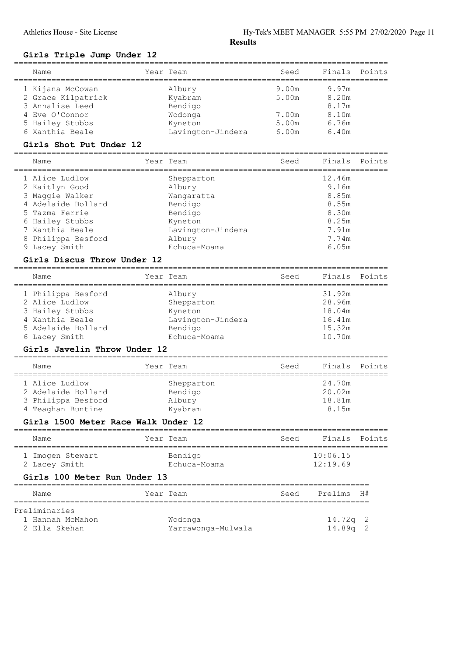#### Girls Triple Jump Under 12

| Name                                                         | Year Team          | Seed  | Finals               | Points |
|--------------------------------------------------------------|--------------------|-------|----------------------|--------|
| 1 Kijana McCowan                                             | Albury             | 9.00m | 9.97m                |        |
| 2 Grace Kilpatrick                                           | Kyabram            | 5.00m | 8.20m                |        |
| 3 Annalise Leed                                              | Bendigo            |       | 8.17m                |        |
| 4 Eve O'Connor                                               | Wodonga            | 7.00m | 8.10m                |        |
| 5 Hailey Stubbs                                              | Kyneton            | 5.00m | 6.76m                |        |
| 6 Xanthia Beale                                              | Lavington-Jindera  | 6.00m | 6.40m                |        |
| Girls Shot Put Under 12                                      |                    |       |                      |        |
| -=================================<br>Name                   | Year Team          | Seed  | Finals               | Points |
| 1 Alice Ludlow                                               | Shepparton         |       | 12.46m               |        |
| 2 Kaitlyn Good                                               | Albury             |       | 9.16m                |        |
| 3 Maggie Walker                                              | Wangaratta         |       | 8.85m                |        |
| 4 Adelaide Bollard                                           | Bendigo            |       | 8.55m                |        |
| 5 Tazma Ferrie                                               | Bendigo            |       | 8.30m                |        |
| 6 Hailey Stubbs                                              | Kyneton            |       | 8.25m                |        |
| 7 Xanthia Beale                                              | Lavington-Jindera  |       | 7.91m                |        |
| Philippa Besford                                             | Albury             |       | 7.74m                |        |
| 9 Lacey Smith                                                | Echuca-Moama       |       | 6.05m                |        |
| Girls Discus Throw Under 12<br>_____________________________ |                    |       |                      |        |
| Name                                                         | Year Team          | Seed  | Finals               | Points |
| 1 Philippa Besford                                           | Albury             |       | 31.92m               |        |
| 2 Alice Ludlow                                               | Shepparton         |       | 28.96m               |        |
| 3 Hailey Stubbs                                              | Kyneton            |       | 18.04m               |        |
| 4 Xanthia Beale                                              | Lavington-Jindera  |       | 16.41m               |        |
| 5 Adelaide Bollard                                           | Bendigo            |       | 15.32m               |        |
| 6 Lacey Smith                                                | Echuca-Moama       |       | 10.70m               |        |
| Girls Javelin Throw Under 12                                 |                    |       |                      |        |
| Name                                                         | Year Team          | Seed  | Finals               | Points |
| 1 Alice Ludlow                                               | Shepparton         |       | 24.70m               |        |
| 2 Adelaide Bollard                                           | Bendigo            |       | 20.02m               |        |
| 3 Philippa Besford                                           | Albury             |       | 18.81m               |        |
| 4 Teaghan Buntine                                            | Kyabram            |       | 8.15m                |        |
| Girls 1500 Meter Race Walk Under 12                          |                    |       |                      |        |
| Name                                                         | Year Team          | Seed  | Finals               | Points |
|                                                              |                    |       |                      |        |
| 1 Imogen Stewart                                             | Bendigo            |       | 10:06.15<br>12:19.69 |        |
| 2 Lacey Smith                                                | Echuca-Moama       |       |                      |        |
| Girls 100 Meter Run Under 13                                 |                    |       |                      |        |
| Name                                                         | Year Team          | Seed  | Prelims              | H#     |
| Preliminaries                                                |                    |       |                      |        |
| 1 Hannah McMahon                                             | Wodonga            |       | 14.72q               | 2      |
| 2 Ella Skehan                                                | Yarrawonga-Mulwala |       | 14.89q               | 2      |
|                                                              |                    |       |                      |        |

================================================================================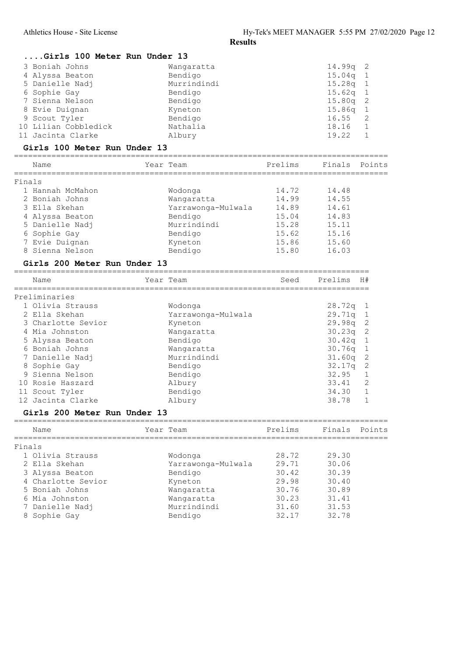|        | Girls 100 Meter Run Under 13                         |                                      |         |                  |                            |
|--------|------------------------------------------------------|--------------------------------------|---------|------------------|----------------------------|
|        | 3 Boniah Johns                                       | Wangaratta                           |         | 14.99q           | 2                          |
|        | 4 Alyssa Beaton                                      | Bendigo                              |         | 15.04q           | 1                          |
|        | 5 Danielle Nadj                                      | Murrindindi                          |         | 15.28q           | $\mathbf{1}$               |
|        | 6 Sophie Gay                                         | Bendigo                              |         | 15.62q           | $\mathbf{1}$               |
|        | 7 Sienna Nelson                                      | Bendigo                              |         | 15.80q           | 2                          |
|        | 8 Evie Duignan                                       | Kyneton                              |         | 15.86q           | 1                          |
|        | 9 Scout Tyler                                        | Bendigo                              |         | 16.55            | 2                          |
|        | 10 Lilian Cobbledick                                 | Nathalia                             |         | 18.16            | $\mathbf 1$                |
|        | 11 Jacinta Clarke                                    | Albury                               |         | 19.22            | $\mathbf 1$                |
|        | Girls 100 Meter Run Under 13<br>==================== |                                      |         |                  |                            |
|        | Name                                                 | Year Team                            | Prelims | Finals           | Points                     |
| Finals |                                                      |                                      |         |                  |                            |
|        | 1 Hannah McMahon                                     | Wodonga                              | 14.72   | 14.48            |                            |
|        | 2 Boniah Johns                                       | Wangaratta                           | 14.99   | 14.55            |                            |
|        | 3 Ella Skehan                                        | Yarrawonga-Mulwala                   | 14.89   | 14.61            |                            |
|        | 4 Alyssa Beaton                                      | Bendigo                              | 15.04   | 14.83            |                            |
|        | 5 Danielle Nadj                                      | Murrindindi                          | 15.28   | 15.11            |                            |
|        | 6 Sophie Gay                                         | Bendigo                              | 15.62   | 15.16            |                            |
|        | 7 Evie Duignan                                       | Kyneton                              | 15.86   | 15.60            |                            |
|        | 8 Sienna Nelson                                      | Bendigo                              | 15.80   | 16.03            |                            |
|        | Girls 200 Meter Run Under 13                         |                                      |         |                  |                            |
|        | Name                                                 | Year Team                            | Seed    | Prelims          | H#                         |
|        |                                                      |                                      |         |                  |                            |
|        | Preliminaries                                        |                                      |         |                  |                            |
|        | 1 Olivia Strauss                                     |                                      |         |                  |                            |
|        | 2 Ella Skehan                                        | Wodonga                              |         | 28.72q           | ı                          |
|        | 3 Charlotte Sevior                                   | Yarrawonga-Mulwala<br>Kyneton        |         | 29.71q           | 1                          |
|        | 4 Mia Johnston                                       | Wangaratta                           |         | 29.98q<br>30.23q | $\sqrt{2}$<br>$\mathbf{2}$ |
|        | 5 Alyssa Beaton                                      | Bendigo                              |         | 30.42q           | $1\,$                      |
|        | 6 Boniah Johns                                       | Wangaratta                           |         | 30.76q           | $\mathbf{1}$               |
|        | 7 Danielle Nadj                                      | Murrindindi                          |         | 31.60q           | 2                          |
|        | 8 Sophie Gay                                         | Bendigo                              |         | 32.17q           | 2                          |
|        | 9 Sienna Nelson                                      | Bendigo                              |         | 32.95            | 1                          |
|        | 10 Rosie Haszard                                     | Albury                               |         | 33.41            | $\mathbf{2}$               |
|        | 11 Scout Tyler                                       | Bendigo                              |         | 34.30            | $\mathbf 1$                |
|        | 12 Jacinta Clarke                                    | Albury                               |         | 38.78            | $\mathbf{1}$               |
|        | Girls 200 Meter Run Under 13                         | ------------------------------------ |         |                  |                            |
|        | ===================<br>Name                          | Year Team                            | Prelims | Finals           | Points                     |
|        |                                                      |                                      |         |                  |                            |
|        | 1 Olivia Strauss                                     | Wodonga                              | 28.72   | 29.30            |                            |
|        | 2 Ella Skehan                                        |                                      | 29.71   | 30.06            |                            |
|        |                                                      | Yarrawonga-Mulwala                   | 30.42   |                  |                            |
|        | 3 Alyssa Beaton                                      | Bendigo                              | 29.98   | 30.39<br>30.40   |                            |
| Finals | 4 Charlotte Sevior<br>5 Boniah Johns                 | Kyneton                              | 30.76   | 30.89            |                            |
|        | 6 Mia Johnston                                       | Wangaratta                           | 30.23   | 31.41            |                            |
|        | 7 Danielle Nadj                                      | Wangaratta<br>Murrindindi            | 31.60   | 31.53            |                            |
|        | 8 Sophie Gay                                         | Bendigo                              | 32.17   | 32.78            |                            |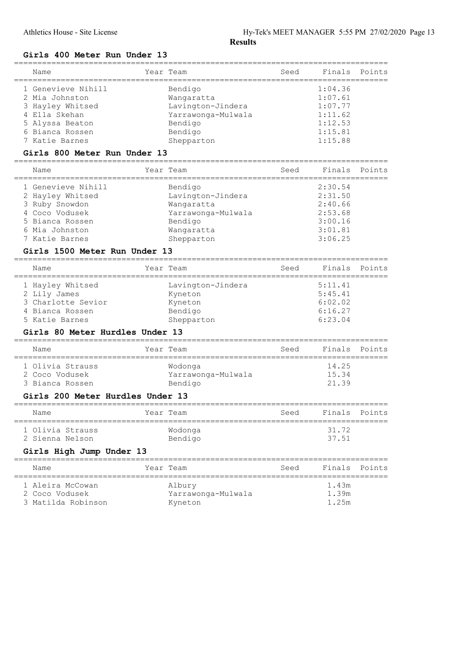## Girls 400 Meter Run Under 13

| Name               | Year Team          | Seed | Finals Points |  |
|--------------------|--------------------|------|---------------|--|
| 1 Genevieve Nihill | Bendigo            |      | 1:04.36       |  |
| 2 Mia Johnston     | Wangaratta         |      | 1:07.61       |  |
| 3 Hayley Whitsed   | Lavington-Jindera  |      | 1:07.77       |  |
| 4 Ella Skehan      | Yarrawonga-Mulwala |      | 1:11.62       |  |
| 5 Alyssa Beaton    | Bendigo            |      | 1:12.53       |  |
| 6 Bianca Rossen    | Bendigo            |      | 1:15.81       |  |
| 7 Katie Barnes     | Shepparton         |      | 1:15.88       |  |
|                    |                    |      |               |  |

#### Girls 800 Meter Run Under 13

| Name               | Year Team          | Seed | Finals Points |  |
|--------------------|--------------------|------|---------------|--|
| 1 Genevieve Nihill | Bendigo            |      | 2:30.54       |  |
| 2 Hayley Whitsed   | Lavington-Jindera  |      | 2:31.50       |  |
| 3 Ruby Snowdon     | Wangaratta         |      | 2:40.66       |  |
| 4 Coco Vodusek     | Yarrawonga-Mulwala |      | 2:53.68       |  |
| 5 Bianca Rossen    | Bendigo            |      | 3:00.16       |  |
| 6 Mia Johnston     | Wangaratta         |      | 3:01.81       |  |
| 7 Katie Barnes     | Shepparton         |      | 3:06.25       |  |
|                    |                    |      |               |  |

## Girls 1500 Meter Run Under 13

| Name               | Year Team         | Seed | Finals Points |  |
|--------------------|-------------------|------|---------------|--|
| 1 Hayley Whitsed   | Lavington-Jindera |      | 5:11.41       |  |
| 2 Lily James       | Kyneton           |      | 5:45.41       |  |
| 3 Charlotte Sevior | Kyneton           |      | 6:02.02       |  |
| 4 Bianca Rossen    | Bendigo           |      | 6:16.27       |  |
| 5 Katie Barnes     | Shepparton        |      | 6:23.04       |  |

#### Girls 80 Meter Hurdles Under 13

| Name                               | Year Team                     | Seed | Finals Points  |  |
|------------------------------------|-------------------------------|------|----------------|--|
| 1 Olivia Strauss<br>2 Coco Vodusek | Wodonga<br>Yarrawonga-Mulwala |      | 14.25<br>15.34 |  |
| 3 Bianca Rossen                    | Bendigo                       |      | 21 39          |  |

## Girls 200 Meter Hurdles Under 13

| Name                                |  | Year Team          | Seed | Finals Points  |  |
|-------------------------------------|--|--------------------|------|----------------|--|
| 1 Olivia Strauss<br>2 Sienna Nelson |  | Wodonga<br>Bendigo |      | 31.72<br>37.51 |  |

## Girls High Jump Under 13

| Name                                                     | Year Team                               | Seed | Finals Points           |  |
|----------------------------------------------------------|-----------------------------------------|------|-------------------------|--|
| 1 Aleira McCowan<br>2 Coco Vodusek<br>3 Matilda Robinson | Albury<br>Yarrawonga-Mulwala<br>Kyneton |      | 1.43m<br>1.39m<br>1.25m |  |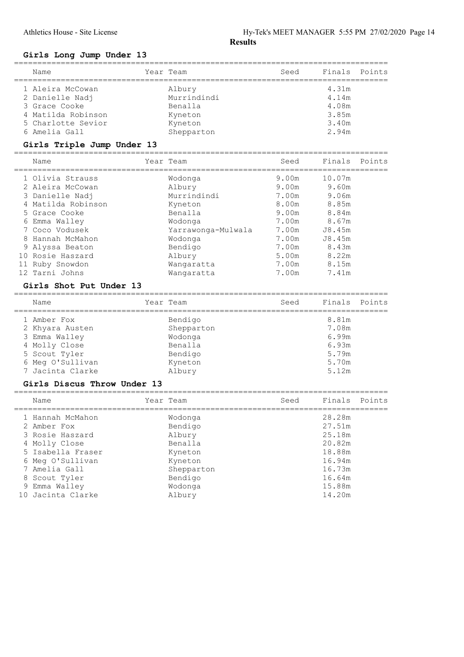## Girls Long Jump Under 13

| Name                                                                                                              | Year Team                                                            | Seed | Finals Points                                      |  |
|-------------------------------------------------------------------------------------------------------------------|----------------------------------------------------------------------|------|----------------------------------------------------|--|
| 1 Aleira McCowan<br>2 Danielle Nadj<br>3 Grace Cooke<br>4 Matilda Robinson<br>5 Charlotte Sevior<br>6 Amelia Gall | Albury<br>Murrindindi<br>Benalla<br>Kyneton<br>Kyneton<br>Shepparton |      | 4.31m<br>4.14m<br>4.08m<br>3.85m<br>3.40m<br>2.94m |  |
|                                                                                                                   |                                                                      |      |                                                    |  |

## Girls Triple Jump Under 13

|   | Name               | Year Team          | Seed  | Finals Points |  |
|---|--------------------|--------------------|-------|---------------|--|
|   | 1 Olivia Strauss   | Wodonga            | 9.00m | 10.07m        |  |
|   | 2 Aleira McCowan   | Albury             | 9.00m | 9.60m         |  |
|   | 3 Danielle Nadj    | Murrindindi        | 7.00m | 9.06m         |  |
|   | 4 Matilda Robinson | Kyneton            | 8.00m | 8.85m         |  |
|   | 5 Grace Cooke      | Benalla            | 9.00m | 8.84m         |  |
| 6 | Emma Walley        | Wodonga            | 7.00m | 8.67m         |  |
|   | 7 Coco Vodusek     | Yarrawonga-Mulwala | 7.00m | J8.45m        |  |
|   | 8 Hannah McMahon   | Wodonga            | 7.00m | J8.45m        |  |
|   | 9 Alyssa Beaton    | Bendigo            | 7.00m | 8.43m         |  |
|   | 10 Rosie Haszard   | Albury             | 5.00m | 8.22m         |  |
|   | 11 Ruby Snowdon    | Wangaratta         | 7.00m | 8.15m         |  |
|   | 12 Tarni Johns     | Wangaratta         | 7.00m | 7.41m         |  |
|   |                    |                    |       |               |  |

## Girls Shot Put Under 13

| Name             | Year Team  | Seed | Finals Points |  |
|------------------|------------|------|---------------|--|
| 1 Amber Fox      | Bendigo    |      | 8.81m         |  |
| 2 Khyara Austen  | Shepparton |      | 7.08m         |  |
| 3 Emma Walley    | Wodonga    |      | 6.99m         |  |
| 4 Molly Close    | Benalla    |      | 6.93m         |  |
| 5 Scout Tyler    | Bendigo    |      | 5.79m         |  |
| 6 Meg O'Sullivan | Kyneton    |      | 5.70m         |  |
| 7 Jacinta Clarke | Albury     |      | 5.12m         |  |

## Girls Discus Throw Under 13

| Name | Year Team                                                                                                                                                                            | Seed | Finals Points |  |
|------|--------------------------------------------------------------------------------------------------------------------------------------------------------------------------------------|------|---------------|--|
|      | Wodonga                                                                                                                                                                              |      | 28.28m        |  |
|      | Bendigo                                                                                                                                                                              |      | 27.51m        |  |
|      | Albury                                                                                                                                                                               |      | 25.18m        |  |
|      | Benalla                                                                                                                                                                              |      | 20.82m        |  |
|      | Kyneton                                                                                                                                                                              |      | 18.88m        |  |
|      | Kyneton                                                                                                                                                                              |      | 16.94m        |  |
|      | Shepparton                                                                                                                                                                           |      | 16.73m        |  |
|      | Bendigo                                                                                                                                                                              |      | 16.64m        |  |
|      | Wodonga                                                                                                                                                                              |      | 15.88m        |  |
|      | Albury                                                                                                                                                                               |      | 14.20m        |  |
|      | 1 Hannah McMahon<br>2 Amber Fox<br>3 Rosie Haszard<br>4 Molly Close<br>5 Isabella Fraser<br>6 Meg O'Sullivan<br>7 Amelia Gall<br>8 Scout Tyler<br>9 Emma Walley<br>10 Jacinta Clarke |      |               |  |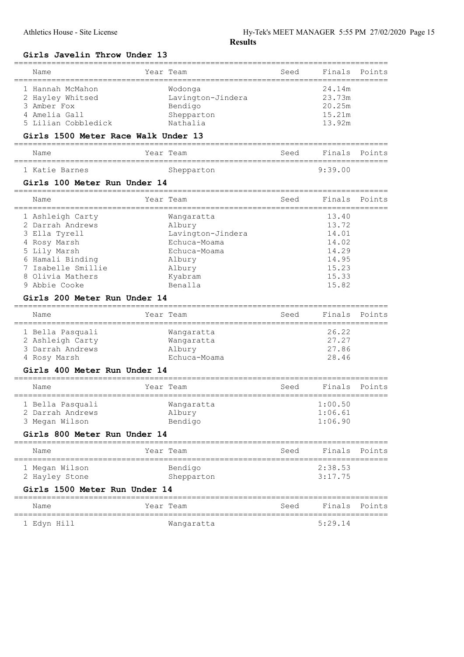## Girls Javelin Throw Under 13

| Name                                                                                        | Year Team                                                         | Seed                      | Finals                                         | Points |
|---------------------------------------------------------------------------------------------|-------------------------------------------------------------------|---------------------------|------------------------------------------------|--------|
| 1 Hannah McMahon<br>2 Hayley Whitsed<br>3 Amber Fox<br>4 Amelia Gall<br>5 Lilian Cobbledick | Wodonga<br>Lavington-Jindera<br>Bendigo<br>Shepparton<br>Nathalia |                           | 24.14m<br>23.73m<br>20.25m<br>15.21m<br>13.92m |        |
| Girls 1500 Meter Race Walk Under 13                                                         |                                                                   |                           |                                                |        |
| Name                                                                                        | Year Team                                                         | Seed                      | Finals                                         | Points |
| 1 Katie Barnes                                                                              | Shepparton                                                        |                           | 9:39.00                                        |        |
| Girls 100 Meter Run Under 14                                                                |                                                                   |                           |                                                |        |
| Name<br>===================                                                                 | Year Team<br>___________                                          | Seed<br>----------------- | Finals                                         | Points |
| 1 Ashleigh Carty<br>2 Darrah Andrews<br>3 Ella Tyrell                                       | Wangaratta<br>Albury<br>Lavington-Jindera                         |                           | 13.40<br>13.72<br>14.01                        |        |
| 4 Rosy Marsh<br>5 Lily Marsh<br>6 Hamali Binding<br>Isabelle Smillie<br>7                   | Echuca-Moama<br>Echuca-Moama<br>Albury<br>Albury                  |                           | 14.02<br>14.29<br>14.95<br>15.23               |        |
| 8 Olivia Mathers<br>9 Abbie Cooke<br>Girls 200 Meter Run Under 14                           | Kyabram<br>Benalla                                                |                           | 15.33<br>15.82                                 |        |
|                                                                                             |                                                                   |                           |                                                |        |
|                                                                                             |                                                                   |                           |                                                |        |
| Name                                                                                        | Year Team                                                         | Seed                      | Finals                                         | Points |
| 1 Bella Pasquali<br>2 Ashleigh Carty<br>3 Darrah Andrews<br>4 Rosy Marsh                    | Wangaratta<br>Wangaratta<br>Albury<br>Echuca-Moama                |                           | 26.22<br>27.27<br>27.86<br>28.46               |        |
| Girls 400 Meter Run Under 14                                                                |                                                                   |                           |                                                |        |
| ;==================================<br>Name                                                 | Year Team                                                         | Seed                      | Finals                                         | Points |
| 1 Bella Pasquali<br>2 Darrah Andrews<br>3 Megan Wilson                                      | Wangaratta<br>Albury<br>Bendigo                                   |                           | 1:00.50<br>1:06.61<br>1:06.90                  |        |
| Girls 800 Meter Run Under 14                                                                |                                                                   |                           |                                                |        |
| --------------------------------------<br>Name                                              | Year Team                                                         | Seed                      | Finals                                         | Points |
| 1 Megan Wilson<br>2 Hayley Stone                                                            | Bendigo<br>Shepparton                                             |                           | 2:38.53<br>3:17.75                             |        |
| Girls 1500 Meter Run Under 14                                                               |                                                                   |                           |                                                |        |
| Name                                                                                        | Year Team                                                         | Seed                      | Finals                                         | Points |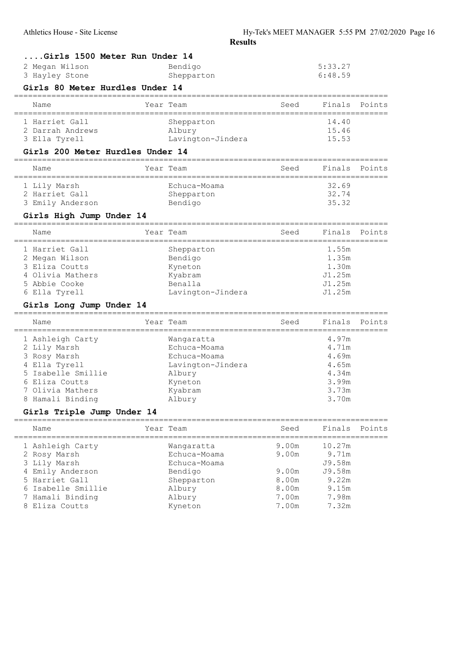|                                                  |                       | IXLƏUILƏ |                                 |        |
|--------------------------------------------------|-----------------------|----------|---------------------------------|--------|
| Girls 1500 Meter Run Under 14<br>2 Megan Wilson  | Bendigo               |          | 5:33.27                         |        |
| 3 Hayley Stone                                   | Shepparton            |          | 6:48.59                         |        |
| Girls 80 Meter Hurdles Under 14                  |                       |          |                                 |        |
| Name                                             | Year Team             | Seed     | Finals                          | Points |
| 1 Harriet Gall                                   | Shepparton            |          | 14.40                           |        |
| 2 Darrah Andrews                                 | Albury                |          | 15.46                           |        |
| 3 Ella Tyrell                                    | Lavington-Jindera     |          | 15.53                           |        |
| Girls 200 Meter Hurdles Under 14                 | ===================== |          |                                 |        |
| Name                                             | Year Team             | Seed     | Finals                          | Points |
| 1 Lily Marsh                                     | Echuca-Moama          |          | 32.69                           |        |
| 2 Harriet Gall                                   | Shepparton            |          | 32.74                           |        |
| 3 Emily Anderson                                 | Bendigo               |          | 35.32                           |        |
| Girls High Jump Under 14                         |                       |          |                                 |        |
| Name                                             | Year Team             | Seed     | Finals                          | Points |
| 1 Harriet Gall                                   | Shepparton            |          | 1.55m                           |        |
| 2 Megan Wilson                                   | Bendigo               |          | 1.35m                           |        |
| 3 Eliza Coutts                                   | Kyneton               |          | 1.30m                           |        |
| 4 Olivia Mathers                                 | Kyabram               |          | J1.25m                          |        |
| 5 Abbie Cooke                                    | Benalla               |          | J1.25m                          |        |
| 6 Ella Tyrell                                    | Lavington-Jindera     |          | J1.25m                          |        |
| Girls Long Jump Under 14<br>-------------------- |                       |          |                                 |        |
| Name                                             | Year Team             | Seed     | Finals<br>===================== | Points |
| 1 Ashleigh Carty                                 | Wangaratta            |          | 4.97m                           |        |
| 2 Lily Marsh                                     | Echuca-Moama          |          | 4.71m                           |        |
| 3 Rosy Marsh                                     | Echuca-Moama          |          | 4.69m                           |        |
| 4 Ella Tyrell                                    | Lavington-Jindera     |          | 4.65m                           |        |
| 5 Isabelle Smillie                               | Albury                |          | 4.34m                           |        |
| 6 Eliza Coutts                                   | Kyneton               |          | 3.99m                           |        |
| 7 Olivia Mathers                                 | Kyabram               |          | 3.73m                           |        |
| 8 Hamali Binding                                 | Albury                |          | 3.70m                           |        |
| Girls Triple Jump Under 14                       |                       |          |                                 |        |
| Name                                             | Year Team             | Seed     | Finals                          | Points |
| 1 Ashleigh Carty                                 | Wanqaratta            | 9.00m    | 10.27m                          |        |
| 2 Rosy Marsh                                     | Echuca-Moama          | 9.00m    | 9.71m                           |        |
| 3 Lily Marsh                                     | Echuca-Moama          |          | J9.58m                          |        |
| 4 Emily Anderson                                 | Bendigo               | 9.00m    | J9.58m                          |        |
| 5 Harriet Gall                                   | Shepparton            | 8.00m    | 9.22m                           |        |
| 6 Isabelle Smillie                               | Albury                | 8.00m    | 9.15m                           |        |
| 7 Hamali Binding                                 | Albury                | 7.00m    | 7.98m                           |        |

7 Hamali Binding **Albury** 7.00m

8 Eliza Coutts **Kyneton** Kyneton 7.00m 7.32m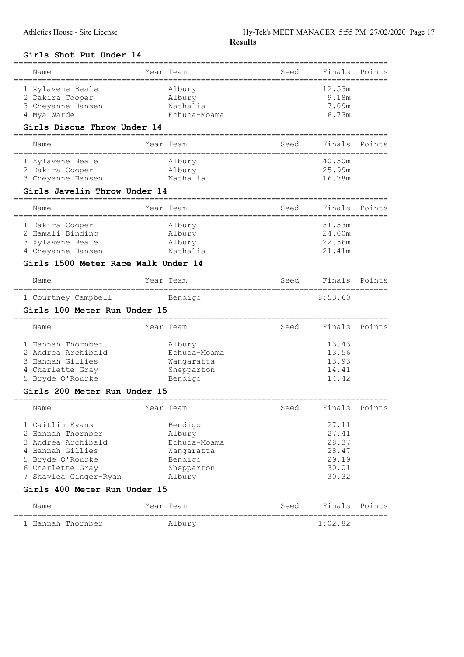## Girls Shot Put Under 14

| Name                                                                                                                                                | Year Team                                                                               | Seed              | Finals                                                      | Points |
|-----------------------------------------------------------------------------------------------------------------------------------------------------|-----------------------------------------------------------------------------------------|-------------------|-------------------------------------------------------------|--------|
| 1 Xylavene Beale<br>2 Dakira Cooper<br>3 Cheyanne Hansen<br>4 Mya Warde                                                                             | Albury<br>Albury<br>Nathalia<br>Echuca-Moama                                            |                   | 12.53m<br>9.18m<br>7.09m<br>6.73m                           |        |
| Girls Discus Throw Under 14                                                                                                                         |                                                                                         |                   |                                                             |        |
| Name<br>;=====================                                                                                                                      | Year Team                                                                               | Seed              | Finals                                                      | Points |
| 1 Xylavene Beale<br>2 Dakira Cooper<br>3 Cheyanne Hansen<br>Girls Javelin Throw Under 14                                                            | Albury<br>Albury<br>Nathalia                                                            |                   | 40.50m<br>25.99m<br>16.78m                                  |        |
| Name                                                                                                                                                | Year Team                                                                               | Seed              | Finals                                                      | Points |
| 1 Dakira Cooper<br>2 Hamali Binding<br>3 Xylavene Beale<br>4 Cheyanne Hansen<br>Girls 1500 Meter Race Walk Under 14                                 | Albury<br>Albury<br>Albury<br>Nathalia                                                  |                   | 31.53m<br>24.00m<br>22.56m<br>21.41m                        |        |
| Name                                                                                                                                                | Year Team                                                                               | Seed              | Finals                                                      | Points |
| 1 Courtney Campbell                                                                                                                                 | Bendigo                                                                                 |                   | 8:53.60                                                     |        |
|                                                                                                                                                     |                                                                                         |                   |                                                             |        |
| Girls 100 Meter Run Under 15                                                                                                                        |                                                                                         |                   |                                                             |        |
| Name                                                                                                                                                | Year Team                                                                               | Seed              | Finals                                                      | Points |
| =========================<br>1 Hannah Thornber<br>2 Andrea Archibald<br>3 Hannah Gillies<br>4 Charlette Gray<br>5 Bryde O'Rourke                    | ======================<br>Albury<br>Echuca-Moama<br>Wangaratta<br>Shepparton<br>Bendigo | ================= | 13.43<br>13.56<br>13.93<br>14.41<br>14.42                   |        |
| Girls 200 Meter Run Under 15                                                                                                                        |                                                                                         |                   |                                                             |        |
| Name                                                                                                                                                | Year Team                                                                               | Seed              | Finals                                                      | Points |
| 1 Caitlin Evans<br>2 Hannah Thornber<br>3 Andrea Archibald<br>4 Hannah Gillies<br>5 Bryde O'Rourke<br>6 Charlette Gray<br>Shaylea Ginger-Ryan<br>7. | Bendigo<br>Albury<br>Echuca-Moama<br>Wangaratta<br>Bendigo<br>Shepparton<br>Albury      |                   | 27.11<br>27.41<br>28.37<br>28.47<br>29.19<br>30.01<br>30.32 |        |
| Girls 400 Meter Run Under 15<br>___________                                                                                                         |                                                                                         |                   |                                                             |        |
| Name                                                                                                                                                | Year Team                                                                               | Seed              | Finals                                                      | Points |

================================================================================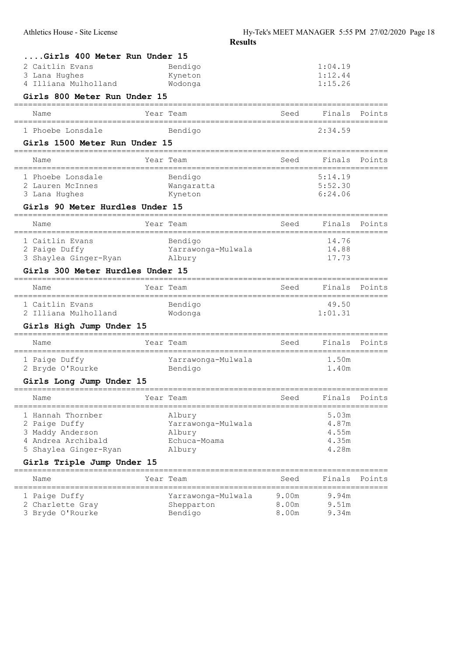| Girls 400 Meter Run Under 15                                      |                                                               |       |                       |        |
|-------------------------------------------------------------------|---------------------------------------------------------------|-------|-----------------------|--------|
| 2 Caitlin Evans                                                   | Bendigo                                                       |       | 1:04.19               |        |
| 3 Lana Hughes                                                     | Kyneton                                                       |       | 1:12.44               |        |
| 4 Illiana Mulholland                                              | Wodonga                                                       |       | 1:15.26               |        |
| Girls 800 Meter Run Under 15                                      |                                                               |       |                       |        |
| Name                                                              | Year Team                                                     | Seed  | Finals                | Points |
| 1 Phoebe Lonsdale                                                 | Bendigo                                                       |       | 2:34.59               |        |
| Girls 1500 Meter Run Under 15<br>================================ |                                                               |       |                       |        |
| Name                                                              | Year Team                                                     | Seed  | Finals                | Points |
| 1 Phoebe Lonsdale                                                 | Bendigo                                                       |       | 5:14.19               |        |
| 2 Lauren McInnes                                                  | Wangaratta                                                    |       | 5:52.30               |        |
| 3 Lana Hughes                                                     | Kyneton                                                       |       | 6:24.06               |        |
| Girls 90 Meter Hurdles Under 15                                   |                                                               |       |                       |        |
| Name                                                              | Year Team                                                     | Seed  | Finals<br>----------- | Points |
| 1 Caitlin Evans                                                   | Bendigo                                                       |       | 14.76                 |        |
| 2 Paige Duffy                                                     | Yarrawonga-Mulwala                                            |       | 14.88                 |        |
| 3 Shaylea Ginger-Ryan Albury                                      |                                                               |       | 17.73                 |        |
| Girls 300 Meter Hurdles Under 15                                  |                                                               |       |                       |        |
| Name                                                              | Year Team                                                     | Seed  | Finals                | Points |
| 1 Caitlin Evans                                                   | Bendigo                                                       |       | 49.50                 |        |
| 2 Illiana Mulholland                                              | Wodonga                                                       |       | 1:01.31               |        |
| Girls High Jump Under 15                                          |                                                               |       |                       |        |
| Name                                                              | Year Team                                                     | Seed  | Finals                | Points |
| 1 Paige Duffy                                                     | Yarrawonga-Mulwala                                            |       | 1.50m                 |        |
| 2 Bryde O'Rourke                                                  | Bendigo                                                       |       | 1.40m                 |        |
| Girls Long Jump Under 15                                          |                                                               |       |                       |        |
| Name<br>---------------------                                     | Year Team<br>======================================<br>—————— | Seed  | Finals                | Points |
| 1 Hannah Thornber                                                 | Albury                                                        |       | 5.03m                 |        |
| 2 Paige Duffy                                                     | Yarrawonga-Mulwala                                            |       | 4.87m                 |        |
| 3 Maddy Anderson                                                  | Albury                                                        |       | 4.55m                 |        |
| 4 Andrea Archibald<br>5 Shaylea Ginger-Ryan                       | Echuca-Moama<br>Albury                                        |       | 4.35m<br>4.28m        |        |
| Girls Triple Jump Under 15                                        |                                                               |       |                       |        |
|                                                                   | ==============================                                |       |                       |        |
| Name                                                              | Year Team                                                     | Seed  | Finals                | Points |
| 1 Paige Duffy                                                     | Yarrawonga-Mulwala                                            | 9.00m | 9.94m                 |        |
| 2 Charlette Gray                                                  | Shepparton                                                    | 8.00m | 9.51m                 |        |
| 3 Bryde O'Rourke                                                  | Bendigo                                                       | 8.00m | 9.34m                 |        |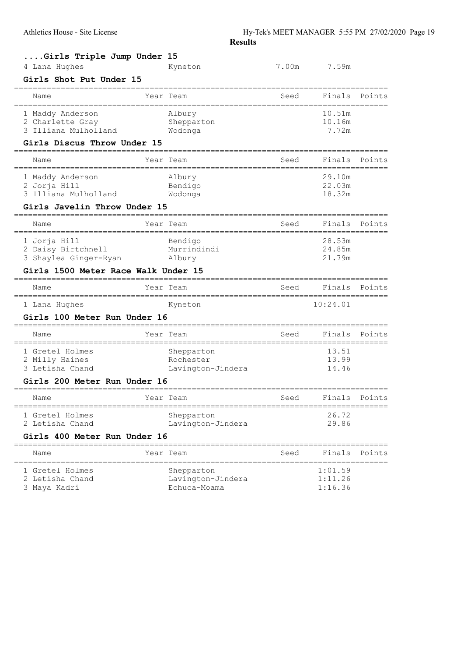| Girls Triple Jump Under 15                                           |                   |                                    |          |        |
|----------------------------------------------------------------------|-------------------|------------------------------------|----------|--------|
| 4 Lana Hughes                                                        | Kyneton           | 7.00m                              | 7.59m    |        |
| Girls Shot Put Under 15                                              |                   |                                    |          |        |
| Name                                                                 | Year Team         | Seed<br>=========                  | Finals   | Points |
| 1 Maddy Anderson                                                     | Albury            |                                    | 10.51m   |        |
| 2 Charlette Gray                                                     | Shepparton        |                                    | 10.16m   |        |
| 3 Illiana Mulholland                                                 | Wodonga           |                                    | 7.72m    |        |
| Girls Discus Throw Under 15<br>===================================== |                   |                                    |          |        |
| Name                                                                 | Year Team         | Seed                               | Finals   | Points |
| 1 Maddy Anderson                                                     | Albury            |                                    | 29.10m   |        |
| 2 Jorja Hill                                                         | Bendigo           |                                    | 22.03m   |        |
| 3 Illiana Mulholland                                                 | Wodonga           |                                    | 18.32m   |        |
| Girls Javelin Throw Under 15                                         |                   |                                    |          |        |
| Name                                                                 | Year Team         | Seed                               | Finals   | Points |
| 1 Jorja Hill                                                         | Bendigo           |                                    | 28.53m   |        |
| 2 Daisy Birtchnell                                                   | Murrindindi       |                                    | 24.85m   |        |
| 3 Shaylea Ginger-Ryan                                                | Albury            |                                    | 21.79m   |        |
| Girls 1500 Meter Race Walk Under 15                                  |                   |                                    |          |        |
| Name                                                                 | Year Team         | Seed                               | Finals   | Points |
| 1 Lana Hughes                                                        | Kyneton           |                                    | 10:24.01 |        |
| Girls 100 Meter Run Under 16                                         |                   |                                    |          |        |
| Name                                                                 | Year Team         | Seed                               | Finals   | Points |
| 1 Gretel Holmes                                                      | Shepparton        |                                    | 13.51    |        |
| 2 Milly Haines                                                       | Rochester         |                                    | 13.99    |        |
| 3 Letisha Chand                                                      | Lavington-Jindera |                                    | 14.46    |        |
| Girls 200 Meter Run Under 16                                         |                   |                                    |          |        |
| Name                                                                 | Year Team         | Seed                               | Finals   | Points |
| ---------------------<br>1 Gretel Holmes                             | Shepparton        | ================================== | 26.72    |        |
| 2 Letisha Chand                                                      | Lavington-Jindera |                                    | 29.86    |        |
| Girls 400 Meter Run Under 16                                         |                   |                                    |          |        |
| Name<br>===========                                                  | Year Team         | Seed                               | Finals   | Points |
| 1 Gretel Holmes                                                      | Shepparton        |                                    | 1:01.59  |        |
| 2 Letisha Chand                                                      | Lavington-Jindera |                                    | 1:11.26  |        |
| 3 Maya Kadri                                                         | Echuca-Moama      |                                    | 1:16.36  |        |
|                                                                      |                   |                                    |          |        |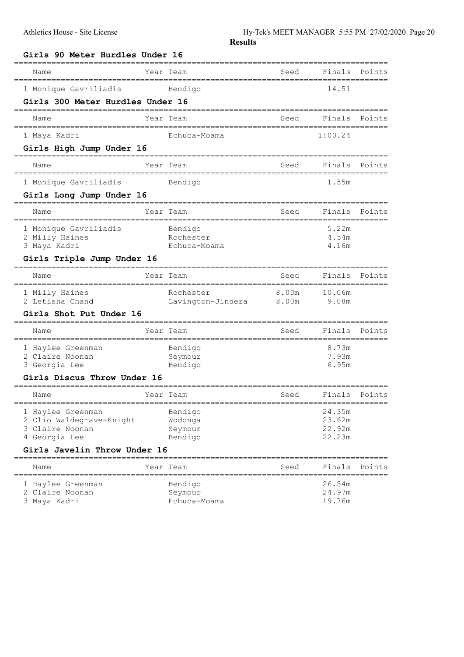| Girls 90 Meter Hurdles Under 16                    |         |                    |       |                  |        |
|----------------------------------------------------|---------|--------------------|-------|------------------|--------|
| Name                                               |         | Year Team          | Seed  | Finals           | Points |
| 1 Monique Gavriliadis                              |         | Bendigo            |       | 14.51            |        |
| Girls 300 Meter Hurdles Under 16                   |         |                    |       |                  |        |
| Name                                               |         | Year Team          | Seed  | Finals           | Points |
| 1 Maya Kadri                                       |         | Echuca-Moama       |       | 1:00.24          |        |
| Girls High Jump Under 16<br>====================== | ======= |                    |       |                  |        |
| Name                                               |         | Year Team          | Seed  | Finals           | Points |
| 1 Monique Gavriliadis                              |         | Bendigo            |       | 1.55m            |        |
| Girls Long Jump Under 16                           |         |                    |       |                  |        |
| Name                                               |         | Year Team          | Seed  | Finals           | Points |
| 1 Monique Gavriliadis                              |         | Bendigo            |       | 5.22m            |        |
| 2 Milly Haines                                     |         | Rochester          |       | 4.54m            |        |
| 3 Maya Kadri                                       |         | Echuca-Moama       |       | 4.16m            |        |
| Girls Triple Jump Under 16                         |         |                    |       |                  |        |
| Name                                               |         | Year Team          | Seed  | Finals           | Points |
| 1 Milly Haines                                     |         | Rochester          | 8.00m | 10.06m           |        |
| 2 Letisha Chand                                    |         | Lavington-Jindera  | 8.00m | 9.08m            |        |
| <b>Girls Shot Put Under 16</b>                     |         |                    |       |                  |        |
| Name                                               |         | Year Team          | Seed  | Finals           | Points |
| 1 Haylee Greenman                                  |         | Bendigo            |       | 8.73m            |        |
| 2 Claire Noonan                                    |         | Seymour            |       | 7.93m<br>6.95m   |        |
| 3 Georgia Lee<br>Girls Discus Throw Under 16       |         | Bendigo            |       |                  |        |
|                                                    |         |                    |       |                  |        |
| Name                                               |         | Year Team          | Seed  | Finals           | Points |
| 1 Haylee Greenman                                  |         | Bendigo            |       | 24.35m           |        |
| 2 Clio Waldegrave-Knight                           |         | Wodonga            |       | 23.62m           |        |
| 3 Claire Noonan<br>4 Georgia Lee                   |         | Seymour<br>Bendigo |       | 22.92m<br>22.23m |        |
| Girls Javelin Throw Under 16                       |         |                    |       |                  |        |
| Name                                               |         | Year Team          | Seed  | Finals           | Points |
| 1 Haylee Greenman                                  |         | Bendigo            |       | 26.54m           |        |
| 2 Claire Noonan                                    |         | Seymour            |       | 24.97m           |        |
| 3 Maya Kadri                                       |         | Echuca-Moama       |       | 19.76m           |        |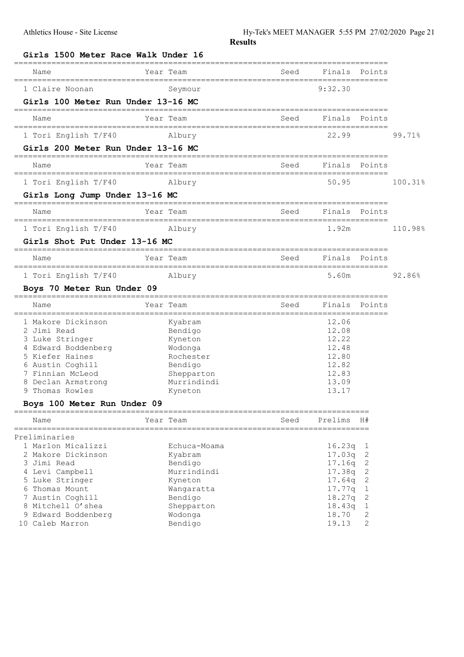| Girls 1500 Meter Race Walk Under 16    |                               |                             |                              |                |         |
|----------------------------------------|-------------------------------|-----------------------------|------------------------------|----------------|---------|
| Name                                   | Year Team                     | Seed                        | Finals                       | Points         |         |
| 1 Claire Noonan                        | Seymour                       |                             | 9:32.30                      |                |         |
| Girls 100 Meter Run Under 13-16 MC     |                               |                             |                              |                |         |
| Name                                   | Year Team<br>=============    | Seed                        | Finals<br>================== | Points         |         |
| 1 Tori English T/F40                   | Albury                        |                             | 22.99                        |                | 99.71%  |
| Girls 200 Meter Run Under 13-16 MC     |                               |                             |                              |                |         |
| Name                                   | Year Team                     | Seed                        | Finals                       | Points         |         |
| 1 Tori English T/F40                   | Albury                        |                             | 50.95                        |                | 100.31% |
| Girls Long Jump Under 13-16 MC         |                               |                             |                              |                |         |
| Name                                   | Year Team                     | Seed                        | Finals                       | Points         |         |
| 1 Tori English T/F40                   | Albury                        |                             | 1.92m                        |                | 110.98% |
| Girls Shot Put Under 13-16 MC          |                               |                             |                              |                |         |
| Name                                   | Year Team                     | Seed                        | Finals                       | Points         |         |
| 1 Tori English T/F40                   | Albury                        |                             | 5.60m                        |                | 92.86%  |
| Boys 70 Meter Run Under 09             |                               |                             |                              |                |         |
| Name                                   | Year Team<br>================ | Seed                        | Finals                       | Points         |         |
| 1 Makore Dickinson                     | Kyabram                       | =========================== | 12.06                        |                |         |
| 2 Jimi Read                            | Bendigo                       |                             | 12.08                        |                |         |
| 3 Luke Stringer                        | Kyneton                       |                             | 12.22                        |                |         |
| 4 Edward Boddenberg                    | Wodonga                       |                             | 12.48                        |                |         |
| 5 Kiefer Haines                        | Rochester                     |                             | 12.80                        |                |         |
| 6 Austin Coghill                       | Bendigo                       |                             | 12.82                        |                |         |
| 7 Finnian McLeod<br>8 Declan Armstrong | Shepparton<br>Murrindindi     |                             | 12.83<br>13.09               |                |         |
| 9 Thomas Rowles                        | Kyneton                       |                             | 13.17                        |                |         |
| Boys 100 Meter Run Under 09            |                               |                             |                              |                |         |
| Name                                   | Year Team                     | Seed                        | Prelims                      | H#             |         |
| Preliminaries                          |                               |                             |                              |                |         |
| 1 Marlon Micalizzi                     | Echuca-Moama                  |                             | 16.23q                       | 1              |         |
| 2 Makore Dickinson                     | Kyabram                       |                             | 17.03q                       | 2              |         |
| 3 Jimi Read                            | Bendigo                       |                             | 17.16q                       | $\mathbf{2}$   |         |
| 4 Levi Campbell                        | Murrindindi                   |                             | 17.38q                       | $\mathbf{2}$   |         |
| 5 Luke Stringer                        | Kyneton                       |                             | 17.64 <sub>q</sub>           | $\mathbf{2}$   |         |
| 6 Thomas Mount                         | Wangaratta                    |                             | 17.77q                       | $\mathbf 1$    |         |
| 7 Austin Coghill                       | Bendigo                       |                             | 18.27q                       | $\mathbf{2}$   |         |
| 8 Mitchell O'shea                      | Shepparton                    |                             | 18.43q                       | $\mathbf 1$    |         |
| 9 Edward Boddenberg                    | Wodonga                       |                             | 18.70                        | $\mathbf{2}$   |         |
| 10 Caleb Marron                        | Bendigo                       |                             | 19.13                        | $\overline{2}$ |         |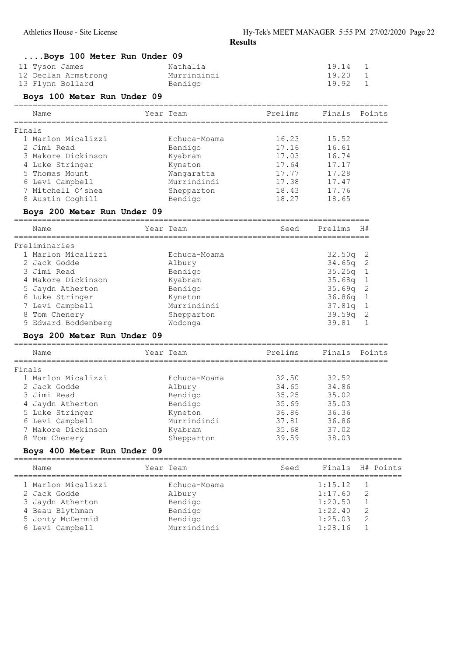| Boys 100 Meter Run Under 09          |                               |                                             |                 |                     |           |
|--------------------------------------|-------------------------------|---------------------------------------------|-----------------|---------------------|-----------|
| 11 Tyson James                       | Nathalia                      |                                             | 19.14           | 1                   |           |
| 12 Declan Armstrong                  | Murrindindi                   |                                             | 19.20           | $\mathbf{1}$        |           |
| 13 Flynn Bollard                     | Bendigo                       |                                             | 19.92           | 1                   |           |
| Boys 100 Meter Run Under 09          |                               |                                             |                 |                     |           |
| Name                                 | Year Team                     | ==================<br>Prelims               | Finals          |                     | Points    |
| Finals                               |                               |                                             |                 |                     |           |
| 1 Marlon Micalizzi                   | Echuca-Moama                  | 16.23                                       | 15.52           |                     |           |
| 2 Jimi Read                          | Bendigo                       | 17.16                                       | 16.61           |                     |           |
| 3 Makore Dickinson                   | Kyabram                       | 17.03                                       | 16.74           |                     |           |
| 4 Luke Stringer                      | Kyneton                       | 17.64                                       | 17.17           |                     |           |
| 5 Thomas Mount                       | Wangaratta                    | 17.77                                       | 17.28           |                     |           |
| 6 Levi Campbell                      | Murrindindi                   | 17.38                                       | 17.47           |                     |           |
| 7 Mitchell O'shea                    | Shepparton                    | 18.43                                       | 17.76           |                     |           |
| 8 Austin Coghill                     | Bendigo                       | 18.27                                       | 18.65           |                     |           |
| Boys 200 Meter Run Under 09          |                               |                                             |                 |                     |           |
| Name                                 | Year Team                     | Seed                                        | Prelims         | H#                  |           |
| Preliminaries                        |                               |                                             |                 |                     |           |
| 1 Marlon Micalizzi                   | Echuca-Moama                  |                                             | 32.50q          | 2                   |           |
| 2 Jack Godde                         | Albury                        |                                             | 34.65q          | 2                   |           |
| 3 Jimi Read                          | Bendigo                       |                                             | 35.25q          | $\mathbf{1}$        |           |
| 4 Makore Dickinson                   | Kyabram                       |                                             | 35.68q          | 1                   |           |
| 5 Jaydn Atherton                     | Bendigo                       |                                             | 35.69q          | 2                   |           |
| 6 Luke Stringer                      | Kyneton                       |                                             | 36.86q          | $\mathbf{1}$        |           |
| 7 Levi Campbell                      | Murrindindi                   |                                             | 37.81q          | 1                   |           |
| 8 Tom Chenery<br>9 Edward Boddenberg | Shepparton                    |                                             | 39.59q<br>39.81 | $\overline{c}$<br>1 |           |
|                                      | Wodonga                       |                                             |                 |                     |           |
| Boys 200 Meter Run Under 09          |                               |                                             |                 |                     |           |
| Name<br>===========                  | Year Team<br>================ | Prelims<br>-------------------------------- | Finals          |                     | Points    |
| Finals                               |                               |                                             |                 |                     |           |
| 1 Marlon Micalizzi                   | Echuca-Moama                  | 32.50                                       | 32.52           |                     |           |
| 2 Jack Godde                         | Albury                        | 34.65                                       | 34.86           |                     |           |
| 3 Jimi Read                          | Bendigo                       | 35.25                                       | 35.02           |                     |           |
| 4 Jaydn Atherton                     | Bendigo                       | 35.69                                       | 35.03           |                     |           |
| 5 Luke Stringer                      | Kyneton                       | 36.86                                       | 36.36           |                     |           |
| 6 Levi Campbell                      | Murrindindi                   | 37.81                                       | 36.86           |                     |           |
| 7 Makore Dickinson                   | Kyabram                       | 35.68                                       | 37.02           |                     |           |
| Tom Chenery<br>8                     | Shepparton                    | 39.59                                       | 38.03           |                     |           |
| Boys 400 Meter Run Under 09          |                               |                                             |                 |                     |           |
| Name                                 | Year Team                     | Seed<br>_________________________           | Finals          |                     | H# Points |
| 1 Marlon Micalizzi                   | Echuca-Moama                  |                                             | 1:15.12         | 1                   |           |
| 2 Jack Godde                         | Albury                        |                                             | 1:17.60         | 2                   |           |
| 3 Jaydn Atherton                     | Bendigo                       |                                             | 1:20.50         | 1                   |           |
| 4 Beau Blythman                      | Bendigo                       |                                             | 1:22.40         | 2                   |           |
| 5 Jonty McDermid                     | Bendigo                       |                                             | 1:25.03         | 2                   |           |
| 6 Levi Campbell                      | Murrindindi                   |                                             | 1:28.16         | 1                   |           |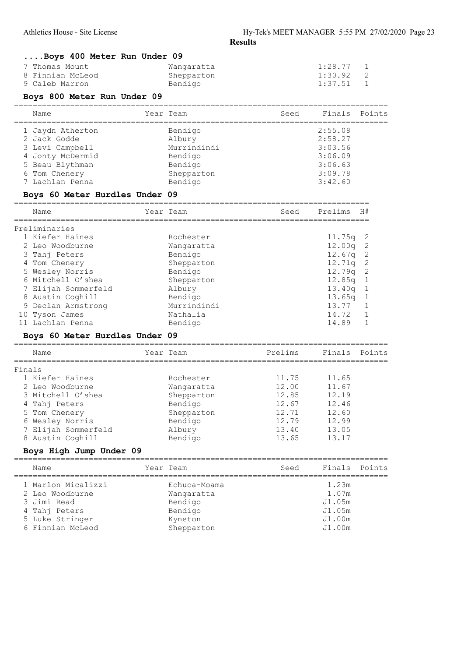|   | Boys 400 Meter Run Under 09        |           |                     |      |                |                              |
|---|------------------------------------|-----------|---------------------|------|----------------|------------------------------|
|   | Thomas Mount                       |           | Wangaratta          |      | 1:28.77        | 1                            |
|   | 8 Finnian McLeod                   |           | Shepparton          |      | 1:30.92        | 2                            |
|   | 9 Caleb Marron                     |           | Bendigo             |      | 1:37.51        | $\mathbf{1}$                 |
|   | Boys 800 Meter Run Under 09        |           |                     |      |                |                              |
|   | Name                               | Year Team |                     | Seed | Finals         | Points                       |
|   | 1 Jaydn Atherton                   |           | Bendigo             |      | 2:55.08        |                              |
|   | 2 Jack Godde                       |           | Albury              |      | 2:58.27        |                              |
|   | 3 Levi Campbell                    |           | Murrindindi         |      | 3:03.56        |                              |
|   | 4 Jonty McDermid                   |           | Bendigo             |      | 3:06.09        |                              |
|   | 5 Beau Blythman                    |           | Bendigo             |      | 3:06.63        |                              |
|   | 6 Tom Chenery                      |           | Shepparton          |      | 3:09.78        |                              |
|   | 7 Lachlan Penna                    |           | Bendigo             |      | 3:42.60        |                              |
|   |                                    |           |                     |      |                |                              |
|   | Boys 60 Meter Hurdles Under 09     |           |                     |      |                |                              |
|   | Name                               | Year Team |                     | Seed | Prelims        | H#                           |
|   | Preliminaries                      |           |                     |      |                |                              |
|   | 1 Kiefer Haines                    |           | Rochester           |      | 11.75q         | 2                            |
|   | 2 Leo Woodburne                    |           | Wangaratta          |      | 12.00q         | $\mathbf{2}$                 |
|   | 3 Tahj Peters                      |           | Bendigo             |      | 12.67q         | $\mathbf{2}$                 |
|   | 4 Tom Chenery                      |           | Shepparton          |      | 12.71q         | $\mathbf{2}$                 |
|   | 5 Wesley Norris                    |           | Bendigo             |      | 12.79q         | $\mathbf{2}$                 |
|   | 6 Mitchell O'shea                  |           | Shepparton          |      | 12.85q         | $\mathbf{1}$                 |
|   | 7 Elijah Sommerfeld                |           | Albury              |      | 13.40q         | $\mathbf{1}$                 |
|   | 8 Austin Coghill                   |           | Bendigo             |      | 13.65q         | $\mathbf{1}$                 |
| 9 | Declan Armstrong                   |           | Murrindindi         |      | 13.77          | $\mathbf{1}$                 |
|   | 10 Tyson James<br>11 Lachlan Penna |           | Nathalia<br>Bendigo |      | 14.72<br>14.89 | $\mathbf{1}$<br>$\mathbf{1}$ |

## Boys 60 Meter Hurdles Under 09

| Name                | Year Team  | Prelims | Finals | Points |
|---------------------|------------|---------|--------|--------|
| Finals              |            |         |        |        |
| 1 Kiefer Haines     | Rochester  | 11.75   | 11.65  |        |
| 2 Leo Woodburne     | Wangaratta | 12.00   | 11.67  |        |
| 3 Mitchell O'shea   | Shepparton | 12.85   | 12.19  |        |
| 4 Tahj Peters       | Bendigo    | 12.67   | 12.46  |        |
| 5 Tom Chenery       | Shepparton | 12 71   | 12.60  |        |
| 6 Wesley Norris     | Bendigo    | 12.79   | 12.99  |        |
| 7 Elijah Sommerfeld | Albury     | 13.40   | 13.05  |        |
| 8 Austin Coghill    | Bendigo    | 13.65   | 13 17  |        |

#### Boys High Jump Under 09 ================================================================================

| Name                                  | Year Team                  | Seed | Finals Points    |  |
|---------------------------------------|----------------------------|------|------------------|--|
| 1 Marlon Micalizzi<br>2 Leo Woodburne | Echuca-Moama<br>Wangaratta |      | 1.23m<br>1.07m   |  |
| 3 Jimi Read                           | Bendigo                    |      | J1.05m           |  |
| 4 Tahj Peters<br>5 Luke Stringer      | Bendigo<br>Kyneton         |      | J1.05m<br>J1.00m |  |
| 6 Finnian McLeod                      | Shepparton                 |      | J1.00m           |  |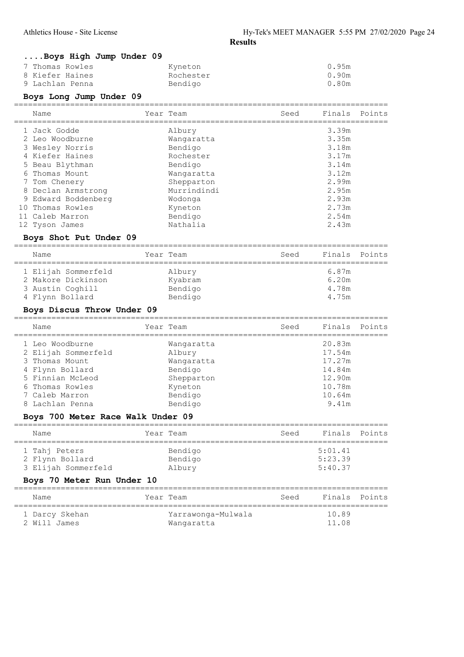## ....Boys High Jump Under 09

| 7 Thomas Rowles | Kyneton   | 0.95m |
|-----------------|-----------|-------|
| 8 Kiefer Haines | Rochester | 0.90m |
| 9 Lachlan Penna | Bendigo   | 0.80m |

## Boys Long Jump Under 09

|    | Name                | Year Team   | Seed | Finals | Points |
|----|---------------------|-------------|------|--------|--------|
|    | 1 Jack Godde        | Albury      |      | 3.39m  |        |
|    | 2 Leo Woodburne     | Wangaratta  |      | 3.35m  |        |
|    | 3 Wesley Norris     | Bendigo     |      | 3.18m  |        |
|    | 4 Kiefer Haines     | Rochester   |      | 3.17m  |        |
|    | 5 Beau Blythman     | Bendigo     |      | 3.14m  |        |
|    | 6 Thomas Mount      | Wangaratta  |      | 3.12m  |        |
|    | 7 Tom Chenery       | Shepparton  |      | 2.99m  |        |
| 8  | Declan Armstrong    | Murrindindi |      | 2.95m  |        |
|    | 9 Edward Boddenberg | Wodonga     |      | 2.93m  |        |
| 10 | Thomas Rowles       | Kyneton     |      | 2.73m  |        |
|    | 11 Caleb Marron     | Bendigo     |      | 2.54m  |        |
|    | 12 Tyson James      | Nathalia    |      | 2.43m  |        |

## Boys Shot Put Under 09

| Finals Points<br>Year Team<br>Seed<br>Name<br>1 Elijah Sommerfeld<br>6.87m<br>Albury<br>2 Makore Dickinson<br>6.20m<br>Kyabram<br>3 Austin Coghill<br>Bendigo<br>4.78m<br>4 Flynn Bollard<br>Bendigo<br>4.75m |  |  |  |
|---------------------------------------------------------------------------------------------------------------------------------------------------------------------------------------------------------------|--|--|--|
|                                                                                                                                                                                                               |  |  |  |
|                                                                                                                                                                                                               |  |  |  |
|                                                                                                                                                                                                               |  |  |  |
|                                                                                                                                                                                                               |  |  |  |
|                                                                                                                                                                                                               |  |  |  |

## Boys Discus Throw Under 09

| Name                | Year Team  | Seed | Finals Points |  |
|---------------------|------------|------|---------------|--|
| 1 Leo Woodburne     | Wangaratta |      | 20.83m        |  |
| 2 Elijah Sommerfeld | Albury     |      | 17.54m        |  |
| 3 Thomas Mount      | Wangaratta |      | 17.27m        |  |
| 4 Flynn Bollard     | Bendigo    |      | 14.84m        |  |
| 5 Finnian McLeod    | Shepparton |      | 12.90m        |  |
| 6 Thomas Rowles     | Kyneton    |      | 10.78m        |  |
| 7 Caleb Marron      | Bendigo    |      | 10.64m        |  |
| 8 Lachlan Penna     | Bendigo    |      | 9.41m         |  |
|                     |            |      |               |  |

## Boys 700 Meter Race Walk Under 09

| Name                                                    | Year Team                    | Seed | Finals Points                 |  |
|---------------------------------------------------------|------------------------------|------|-------------------------------|--|
| 1 Tahj Peters<br>2 Flynn Bollard<br>3 Elijah Sommerfeld | Bendigo<br>Bendigo<br>Albury |      | 5:01.41<br>5:23.39<br>5:40.37 |  |

## Boys 70 Meter Run Under 10

| Name                           | Year Team                        | Seed | Finals Points  |  |
|--------------------------------|----------------------------------|------|----------------|--|
| 1 Darcy Skehan<br>2 Will James | Yarrawonga-Mulwala<br>Wangaratta |      | 10.89<br>11.08 |  |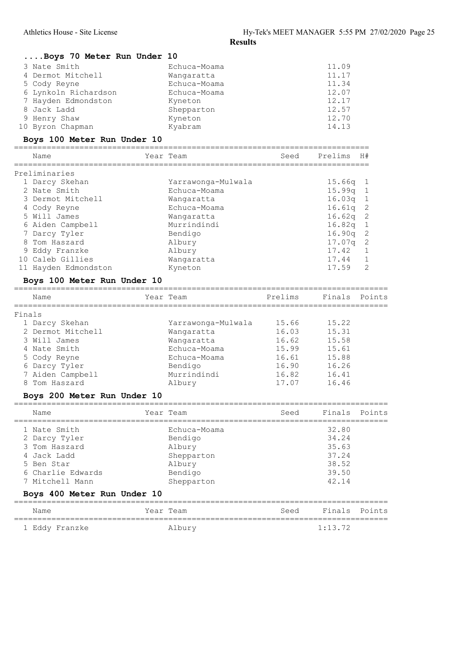|        | Boys 70 Meter Run Under 10  |                    |         |         |                |
|--------|-----------------------------|--------------------|---------|---------|----------------|
|        | 3 Nate Smith                | Echuca-Moama       |         | 11.09   |                |
|        | 4 Dermot Mitchell           | Wangaratta         |         | 11.17   |                |
|        | 5 Cody Reyne                | Echuca-Moama       |         | 11.34   |                |
|        | 6 Lynkoln Richardson        | Echuca-Moama       |         | 12.07   |                |
|        | 7 Hayden Edmondston         | Kyneton            |         | 12.17   |                |
|        | 8 Jack Ladd                 | Shepparton         |         | 12.57   |                |
|        | 9 Henry Shaw                | Kyneton            |         | 12.70   |                |
|        | 10 Byron Chapman            | Kyabram            |         | 14.13   |                |
|        | Boys 100 Meter Run Under 10 |                    |         |         |                |
|        | Name                        | Year Team          | Seed    | Prelims | H#             |
|        | Preliminaries               |                    |         |         |                |
|        | 1 Darcy Skehan              | Yarrawonga-Mulwala |         | 15.66q  | ı              |
|        | 2 Nate Smith                | Echuca-Moama       |         | 15.99q  | $1\,$          |
|        | 3 Dermot Mitchell           | Wangaratta         |         | 16.03q  | $\mathbf{1}$   |
|        | 4 Cody Reyne                | Echuca-Moama       |         | 16.61q  | $\mathbf{2}$   |
|        | 5 Will James                | Wangaratta         |         | 16.62q  | $\mathbf{2}$   |
|        | 6 Aiden Campbell            | Murrindindi        |         | 16.82q  | $\mathbf{1}$   |
|        | 7 Darcy Tyler               | Bendigo            |         | 16.90q  | $\mathbf{2}$   |
|        | 8 Tom Haszard               | Albury             |         | 17.07q  | $\overline{c}$ |
|        | 9 Eddy Franzke              | Albury             |         | 17.42   | 1              |
|        | 10 Caleb Gillies            | Wangaratta         |         | 17.44   | 1              |
|        | 11 Hayden Edmondston        | Kyneton            |         | 17.59   | 2              |
|        | Boys 100 Meter Run Under 10 |                    |         |         |                |
|        | Name                        | Year Team          | Prelims | Finals  | Points         |
| Finals |                             |                    |         |         |                |
|        | 1 Darcy Skehan              | Yarrawonga-Mulwala | 15.66   | 15.22   |                |
|        |                             |                    |         |         |                |
|        | 2 Dermot Mitchell           | Wangaratta         | 16.03   | 15.31   |                |
|        | 3 Will James                | Wangaratta         | 16.62   | 15.58   |                |
|        | 4 Nate Smith                | Echuca-Moama       | 15.99   | 15.61   |                |
|        | 5 Cody Reyne                | Echuca-Moama       | 16.61   | 15.88   |                |
|        | 6 Darcy Tyler               | Bendigo            | 16.90   | 16.26   |                |
|        | 7 Aiden Campbell            | Murrindindi        | 16.82   | 16.41   |                |
|        | 8 Tom Haszard               | Albury             | 17.07   | 16.46   |                |
|        | Boys 200 Meter Run Under 10 |                    |         |         |                |
|        | Name                        | Year Team          | Seed    | Finals  | Points         |
|        | 1 Nate Smith                | Echuca-Moama       |         | 32.80   |                |
|        | 2 Darcy Tyler               | Bendigo            |         | 34.24   |                |
|        | 3 Tom Haszard               | Albury             |         | 35.63   |                |
|        | 4 Jack Ladd                 | Shepparton         |         | 37.24   |                |
|        | 5 Ben Star                  | Albury             |         | 38.52   |                |
|        | Charlie Edwards             | Bendigo            |         | 39.50   |                |
|        | 7 Mitchell Mann             | Shepparton         |         | 42.14   |                |
|        | Boys 400 Meter Run Under 10 |                    |         |         |                |
|        | Name                        | Year Team          | Seed    | Finals  | Points         |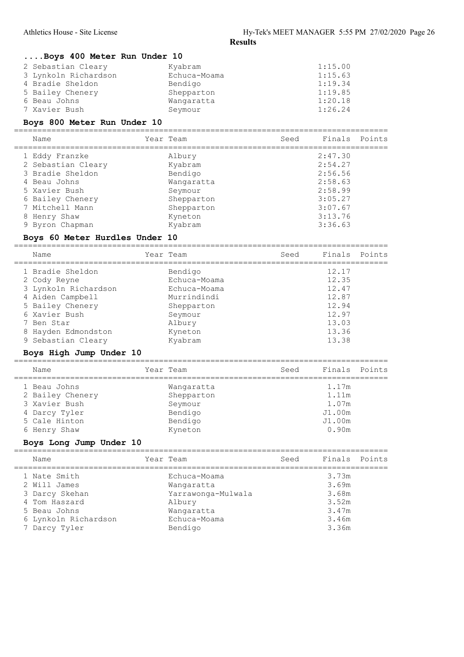#### ....Boys 400 Meter Run Under 10

| 2 Sebastian Cleary   | Kyabram      | 1:15.00 |
|----------------------|--------------|---------|
| 3 Lynkoln Richardson | Echuca-Moama | 1:15.63 |
| 4 Bradie Sheldon     | Bendigo      | 1:19.34 |
| 5 Bailey Chenery     | Shepparton   | 1:19.85 |
| 6 Beau Johns         | Wangaratta   | 1:20.18 |
| 7 Xavier Bush        | Seymour      | 1:26.24 |

#### Boys 800 Meter Run Under 10

================================================================================ Name **Seed** Finals Points Name Year Team **Seed** Finals Points ================================================================================ 1 Eddy Franzke Albury 2:47.30<br>2 Sebastian Cleary Kyabram 2:54.27 2 Sebastian Cleary Kyabram 2:54.27 3 Bradie Sheldon Bendigo 2:56.56 4 Beau Johns Wangaratta 2:58.63 5 Xavier Bush Seymour 2:58.99 6 Bailey Chenery Shepparton 3:05.27 7 Mitchell Mann Shepparton 3:07.67 8 Henry Shaw **Kyneton 3:13.76** 9 Byron Chapman Kyabram 3:36.63

#### Boys 60 Meter Hurdles Under 10

================================================================================

| Name                 | Year Team    | Seed | Finals | Points |
|----------------------|--------------|------|--------|--------|
| 1 Bradie Sheldon     | Bendigo      |      | 12.17  |        |
| 2 Cody Reyne         | Echuca-Moama |      | 12.35  |        |
| 3 Lynkoln Richardson | Echuca-Moama |      | 12.47  |        |
| 4 Aiden Campbell     | Murrindindi  |      | 12.87  |        |
| 5 Bailey Chenery     | Shepparton   |      | 12.94  |        |
| 6 Xavier Bush        | Seymour      |      | 12.97  |        |
| 7 Ben Star           | Albury       |      | 13.03  |        |
| 8 Hayden Edmondston  | Kyneton      |      | 13.36  |        |
| 9 Sebastian Cleary   | Kyabram      |      | 13.38  |        |
|                      |              |      |        |        |

## Boys High Jump Under 10

| Name             | Year Team  | Seed | Finals Points |  |
|------------------|------------|------|---------------|--|
| 1 Beau Johns     | Wangaratta |      | 1.17m         |  |
| 2 Bailey Chenery | Shepparton |      | 1.11m         |  |
| 3 Xavier Bush    | Seymour    |      | 1.07m         |  |
| 4 Darcy Tyler    | Bendigo    |      | J1.00m        |  |
| 5 Cale Hinton    | Bendigo    |      | J1.00m        |  |
| 6 Henry Shaw     | Kyneton    |      | 0.90m         |  |
|                  |            |      |               |  |

## Boys Long Jump Under 10

| Name                 | Year Team          | Seed | Finals Points |  |
|----------------------|--------------------|------|---------------|--|
| 1 Nate Smith         | Echuca-Moama       |      | 3.73m         |  |
| 2 Will James         | Wangaratta         |      | 3.69m         |  |
| 3 Darcy Skehan       | Yarrawonga-Mulwala |      | 3.68m         |  |
| 4 Tom Haszard        | Albury             |      | 3.52m         |  |
| 5 Beau Johns         | Wangaratta         |      | 3.47m         |  |
| 6 Lynkoln Richardson | Echuca-Moama       |      | 3.46m         |  |
| 7 Darcy Tyler        | Bendigo            |      | 3.36m         |  |
|                      |                    |      |               |  |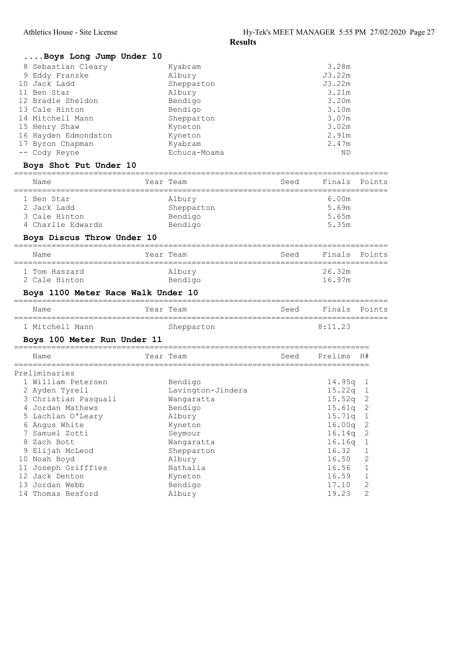## ....Boys Long Jump Under 10

| 8 Sebastian Cleary   | Kyabram      | 3.28m  |
|----------------------|--------------|--------|
| 9 Eddy Franzke       | Albury       | J3.22m |
| 10 Jack Ladd         | Shepparton   | J3.22m |
| 11 Ben Star          | Albury       | 3.21m  |
| 12 Bradie Sheldon    | Bendigo      | 3.20m  |
| 13 Cale Hinton       | Bendigo      | 3.10m  |
| 14 Mitchell Mann     | Shepparton   | 3.07m  |
| 15 Henry Shaw        | Kyneton      | 3.02m  |
| 16 Hayden Edmondston | Kyneton      | 2.91m  |
| 17 Byron Chapman     | Kyabram      | 2.47m  |
| -- Cody Reyne        | Echuca-Moama | ND     |

## Boys Shot Put Under 10

| Name       |                                                   | Year Team                                  | Seed | Finals Points                    |  |
|------------|---------------------------------------------------|--------------------------------------------|------|----------------------------------|--|
| 1 Ben Star | 2 Jack Ladd<br>3 Cale Hinton<br>4 Charlie Edwards | Albury<br>Shepparton<br>Bendigo<br>Bendigo |      | 6.00m<br>5.69m<br>5.65m<br>5.35m |  |

## Boys Discus Throw Under 10

| Name                           | Year Team         | Seed | Finals Points    |  |
|--------------------------------|-------------------|------|------------------|--|
| 1 Tom Haszard<br>2 Cale Hinton | Albury<br>Bendigo |      | 26.32m<br>16.97m |  |

## Boys 1100 Meter Race Walk Under 10

| Name            | Year Team  | Seed | Finals Points   |  |
|-----------------|------------|------|-----------------|--|
| 1 Mitchell Mann | Shepparton |      | $8 \cdot 11$ 23 |  |

## Boys 100 Meter Run Under 11

|    | Name                 | Year Team         | Seed | Prelims | H# |
|----|----------------------|-------------------|------|---------|----|
|    | Preliminaries        |                   |      |         |    |
|    | 1 William Petersen   | Bendigo           |      | 14.95g  |    |
|    | 2 Ayden Tyrell       | Lavington-Jindera |      | 15.22q  |    |
|    | 3 Christian Pasquali | Wangaratta        |      | 15.52q  | -2 |
|    | 4 Jordan Mathews     | Bendigo           |      | 15.61q  | -2 |
|    | 5 Lachlan O'Leary    | Albury            |      | 15.71q  |    |
|    | 6 Angus White        | Kyneton           |      | 16.00q  | -2 |
|    | 7 Samuel Zotti       | Seymour           |      | 16.14q  | -2 |
|    | 8 Zach Bott          | Wangaratta        |      | 16.16q  |    |
|    | 9 Elijah McLeod      | Shepparton        |      | 16.32   |    |
|    | 10 Noah Boyd         | Albury            |      | 16.50   | 2  |
| 11 | Joseph Grifffies     | Nathalia          |      | 16.56   |    |
|    | 12 Jack Denton       | Kyneton           |      | 16.59   |    |

 13 Jordan Webb Bendigo 17.10 2 14 Thomas Besford Albury 19.23 2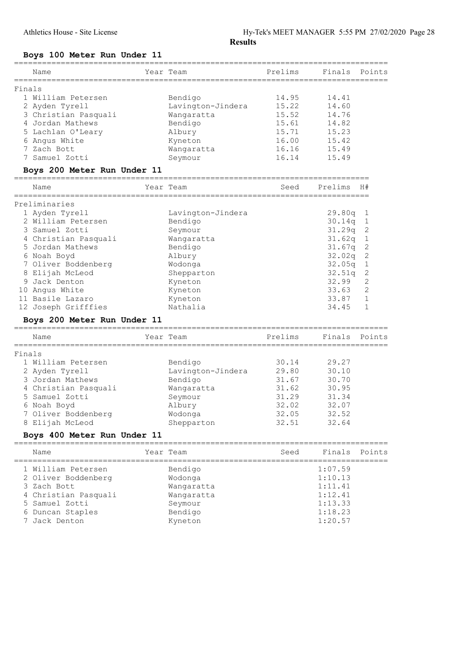## Boys 100 Meter Run Under 11

|        | Name                        | Year Team         | Prelims | Finals  | Points       |
|--------|-----------------------------|-------------------|---------|---------|--------------|
| Finals |                             |                   |         |         |              |
|        | 1 William Petersen          | Bendigo           | 14.95   | 14.41   |              |
|        | 2 Ayden Tyrell              | Lavington-Jindera | 15.22   | 14.60   |              |
|        | 3 Christian Pasquali        | Wangaratta        | 15.52   | 14.76   |              |
|        | 4 Jordan Mathews            | Bendigo           | 15.61   | 14.82   |              |
|        | 5 Lachlan O'Leary           | Albury            | 15.71   | 15.23   |              |
|        | 6 Angus White               | Kyneton           | 16.00   | 15.42   |              |
|        | 7 Zach Bott                 | Wangaratta        | 16.16   | 15.49   |              |
|        | 7 Samuel Zotti              | Seymour           | 16.14   | 15.49   |              |
|        | Boys 200 Meter Run Under 11 |                   |         |         |              |
|        | Name                        | Year Team         | Seed    | Prelims | H#           |
|        | Preliminaries               |                   |         |         |              |
|        | 1 Ayden Tyrell              | Lavington-Jindera |         | 29.80q  | ı            |
|        | 2 William Petersen          | Bendigo           |         | 30.14q  | 1            |
|        | 3 Samuel Zotti              | Seymour           |         | 31.29q  | 2            |
|        | 4 Christian Pasquali        | Wangaratta        |         | 31.62q  | $\mathbf 1$  |
|        | 5 Jordan Mathews            | Bendigo           |         | 31.67q  | $\mathbf{2}$ |
|        | 6 Noah Boyd                 | Albury            |         | 32.02q  | 2            |
|        | 7 Oliver Boddenberg         | Wodonga           |         | 32.05q  | 1            |
|        | 8 Elijah McLeod             | Shepparton        |         | 32.51q  | 2            |
|        | 9 Jack Denton               | Kyneton           |         | 32.99   | 2            |
|        | 10 Angus White              | Kyneton           |         | 33.63   | $\mathbf{2}$ |
|        | 11 Basile Lazaro            | Kyneton           |         | 33.87   | $1\,$        |
|        | 12 Joseph Grifffies         | Nathalia          |         | 34.45   | $\mathbf{1}$ |
|        | Boys 200 Meter Run Under 11 |                   |         |         |              |
|        | Name                        | Year Team         | Prelims | Finals  | Points       |
| Finals |                             |                   |         |         |              |
|        | 1 William Petersen          | Bendigo           | 30.14   | 29.27   |              |
|        | 2 Ayden Tyrell              | Lavington-Jindera | 29.80   | 30.10   |              |
|        | 3 Jordan Mathews            | Bendigo           | 31.67   | 30.70   |              |
|        | 4 Christian Pasquali        | Wangaratta        | 31.62   | 30.95   |              |
|        | 5 Samuel Zotti              | Seymour           | 31.29   | 31.34   |              |
|        | 6 Noah Boyd                 | Albury            | 32.02   | 32.07   |              |
|        | 7 Oliver Boddenberg         | Wodonga           | 32.05   | 32.52   |              |
|        | 8 Elijah McLeod             | Shepparton        | 32.51   | 32.64   |              |
|        | Boys 400 Meter Run Under 11 |                   |         |         |              |
|        | Name                        | Year Team         | Seed    | Finals  | Points       |
|        | 1 William Petersen          | Bendigo           |         | 1:07.59 |              |
|        | 2 Oliver Boddenberg         | Wodonga           |         | 1:10.13 |              |
|        | 3 Zach Bott                 | Wangaratta        |         | 1:11.41 |              |
|        | 4 Christian Pasquali        | Wangaratta        |         | 1:12.41 |              |
|        | 5 Samuel Zotti              | Seymour           |         | 1:13.33 |              |

 6 Duncan Staples Bendigo 1:18.23 7 Jack Denton Kyneton 1:20.57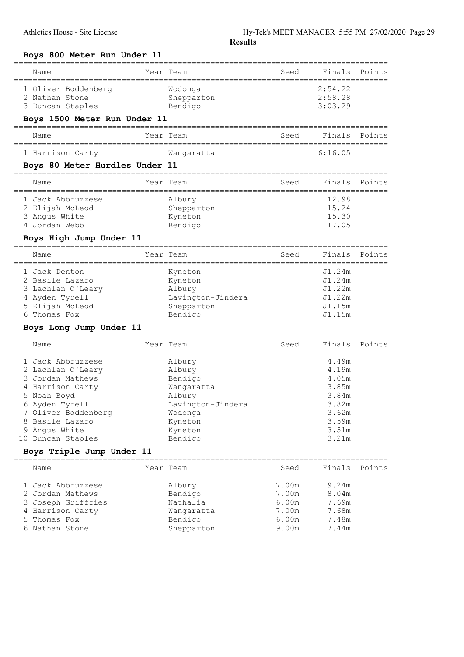#### Boys 800 Meter Run Under 11

| 2 Jordan Mathews<br>3 Joseph Grifffies<br>4 Harrison Carty<br>5 Thomas Fox |                     | Bendigo<br>Nathalia<br>Wangaratta<br>Bendigo | 7.00m<br>6.00m<br>7.00m<br>6.00m | 8.04m<br>7.69m<br>7.68m<br>7.48m |         |
|----------------------------------------------------------------------------|---------------------|----------------------------------------------|----------------------------------|----------------------------------|---------|
|                                                                            |                     |                                              |                                  |                                  |         |
|                                                                            |                     |                                              |                                  |                                  |         |
| 1 Jack Abbruzzese                                                          |                     | Albury                                       | 7.00m                            | 9.24m                            |         |
| Name                                                                       |                     | Year Team                                    | Seed                             | Finals                           | Points  |
| Boys Triple Jump Under 11<br>=============================                 |                     | ---------------------                        |                                  |                                  |         |
| 10 Duncan Staples                                                          |                     | Bendigo                                      |                                  | 3.21m                            |         |
| 9 Angus White                                                              |                     | Kyneton                                      |                                  | 3.51m                            |         |
| 7 Oliver Boddenberg<br>8 Basile Lazaro                                     |                     | Wodonga<br>Kyneton                           |                                  | 3.62m<br>3.59m                   |         |
| 6 Ayden Tyrell                                                             |                     | Lavington-Jindera                            |                                  | 3.82m                            |         |
| 5 Noah Boyd                                                                |                     | Albury                                       |                                  | 3.84m                            |         |
| 4 Harrison Carty                                                           |                     | Wangaratta                                   |                                  | 3.85m                            |         |
| 2 Lachlan O'Leary<br>3 Jordan Mathews                                      |                     | Albury<br>Bendigo                            |                                  | 4.19m<br>4.05m                   |         |
| 1 Jack Abbruzzese                                                          |                     | Albury                                       |                                  | 4.49m                            |         |
| ===============<br>Name                                                    |                     | Year Team                                    | Seed<br>======================   | Finals                           | Points  |
| Boys Long Jump Under 11                                                    | ==========          |                                              |                                  |                                  |         |
| 6 Thomas Fox                                                               |                     | Bendigo                                      |                                  | J1.15m                           |         |
| 4 Ayden Tyrell<br>5 Elijah McLeod                                          |                     | Lavington-Jindera<br>Shepparton              |                                  | J1.22m<br>J1.15m                 |         |
| 3 Lachlan O'Leary                                                          |                     | Albury                                       |                                  | J1.22m                           |         |
| 2 Basile Lazaro                                                            |                     | Kyneton                                      |                                  | J1.24m                           |         |
| 1 Jack Denton                                                              |                     | Kyneton                                      |                                  | J1.24m                           |         |
| Name                                                                       |                     | Year Team                                    | Seed                             | Finals                           | Points  |
| Boys High Jump Under 11                                                    |                     |                                              |                                  |                                  |         |
| 4 Jordan Webb                                                              |                     | Bendigo                                      |                                  | 17.05                            |         |
| 3 Angus White                                                              |                     | Shepparton<br>Kyneton                        |                                  | 15.30                            |         |
| 1 Jack Abbruzzese<br>2 Elijah McLeod                                       |                     | Albury                                       |                                  | 12.98<br>15.24                   |         |
| Name                                                                       |                     | Year Team                                    | Seed                             | Finals                           | Points  |
| Boys 80 Meter Hurdles Under 11                                             |                     |                                              |                                  |                                  |         |
| 1 Harrison Carty                                                           |                     | Wangaratta                                   |                                  | 6:16.05                          |         |
| Name                                                                       | -----------         | Year Team                                    | Seed                             | Finals                           | Points  |
| Boys 1500 Meter Run Under 11                                               |                     |                                              |                                  |                                  |         |
| 3 Duncan Staples                                                           |                     | Bendigo                                      |                                  | 3:03.29                          |         |
| 2 Nathan Stone                                                             |                     | Shepparton                                   |                                  | 2:58.28                          |         |
|                                                                            |                     |                                              |                                  |                                  |         |
| Name                                                                       |                     |                                              | Seed                             | Finals                           | Points  |
|                                                                            | 1 Oliver Boddenberg |                                              | Year Team<br>Wodonga             |                                  | 2:54.22 |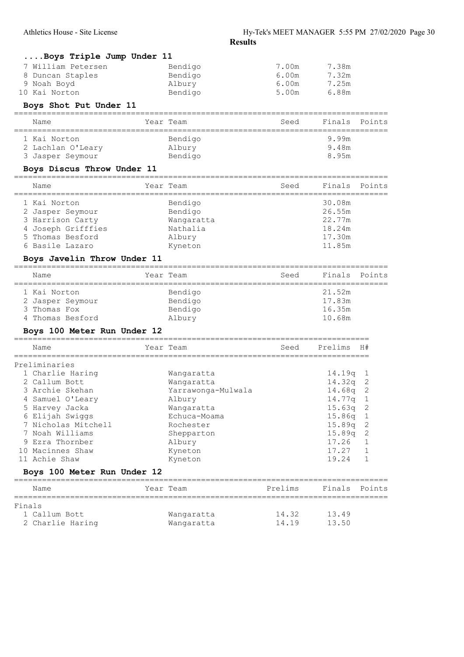| Boys Triple Jump Under 11         |                            |                                         |                |                   |
|-----------------------------------|----------------------------|-----------------------------------------|----------------|-------------------|
| 7 William Petersen                | Bendigo                    | 7.00m                                   | 7.38m          |                   |
| 8 Duncan Staples                  | Bendigo                    | 6.00m                                   | 7.32m          |                   |
| 9 Noah Boyd                       | Albury                     | 6.00m                                   | 7.25m          |                   |
| 10 Kai Norton                     | Bendigo                    | 5.00m                                   | 6.88m          |                   |
| Boys Shot Put Under 11            |                            |                                         |                |                   |
| Name<br>-----------------         | Year Team                  | Seed                                    | Finals         | Points            |
| 1 Kai Norton                      | Bendigo                    |                                         | 9.99m          |                   |
| 2 Lachlan O'Leary                 | Albury                     |                                         | 9.48m          |                   |
| 3 Jasper Seymour                  | Bendigo                    |                                         | 8.95m          |                   |
| Boys Discus Throw Under 11        |                            |                                         |                |                   |
| Name<br>------------              | Year Team<br>============= | Seed<br>-============================== | Finals         | Points            |
| 1 Kai Norton                      | Bendigo                    |                                         | 30.08m         |                   |
| 2 Jasper Seymour                  | Bendigo                    |                                         | 26.55m         |                   |
| 3 Harrison Carty                  | Wangaratta                 |                                         | 22.77m         |                   |
| 4 Joseph Grifffies                | Nathalia                   |                                         | 18.24m         |                   |
| 5 Thomas Besford                  | Albury                     |                                         | 17.30m         |                   |
| 6 Basile Lazaro                   | Kyneton                    |                                         | 11.85m         |                   |
| Boys Javelin Throw Under 11       |                            |                                         |                |                   |
| Name                              | Year Team                  | Seed                                    | Finals         | Points            |
| 1 Kai Norton                      | Bendigo                    |                                         | 21.52m         |                   |
| 2 Jasper Seymour                  | Bendigo                    |                                         | 17.83m         |                   |
| 3 Thomas Fox                      | Bendigo                    |                                         | 16.35m         |                   |
| 4 Thomas Besford                  | Albury                     |                                         | 10.68m         |                   |
| Boys 100 Meter Run Under 12       |                            |                                         |                |                   |
| Name                              | Year Team<br>==========    | Seed                                    | Prelims        | H#                |
| Preliminaries                     |                            |                                         |                |                   |
| 1 Charlie Haring                  | Wangaratta                 |                                         | 14.19q         | 1                 |
| 2 Callum Bott                     | Wangaratta                 |                                         | 14.32q         | 2                 |
| 3 Archie Skehan                   | Yarrawonga-Mulwala         |                                         | 14.68q         | 2                 |
| 4 Samuel O'Leary                  | Albury                     |                                         | 14.77q         | $\mathbf{1}$      |
| 5 Harvey Jacka                    | Wangaratta                 |                                         | 15.63q         | 2                 |
| 6 Elijah Swiggs                   | Echuca-Moama               |                                         | 15.86q         | 1                 |
| 7 Nicholas Mitchell               | Rochester                  |                                         | 15.89q         | 2                 |
| 7 Noah Williams                   | Shepparton                 |                                         | 15.89q         | 2                 |
| 9 Ezra Thornber                   | Albury                     |                                         | 17.26          | $\mathbf 1$       |
| 10 Macinnes Shaw<br>11 Achie Shaw | Kyneton                    |                                         | 17.27<br>19.24 | $\mathbf{1}$<br>1 |
| Boys 100 Meter Run Under 12       | Kyneton                    |                                         |                |                   |
| ===========================       | -----------------------    |                                         |                |                   |
| Name                              | Year Team                  | Prelims                                 | Finals         | Points            |
| Finals                            |                            |                                         |                |                   |
| 1 Callum Bott                     | Wangaratta                 | 14.32                                   | 13.49          |                   |
| 2 Charlie Haring                  | Wangaratta                 | 14.19                                   | 13.50          |                   |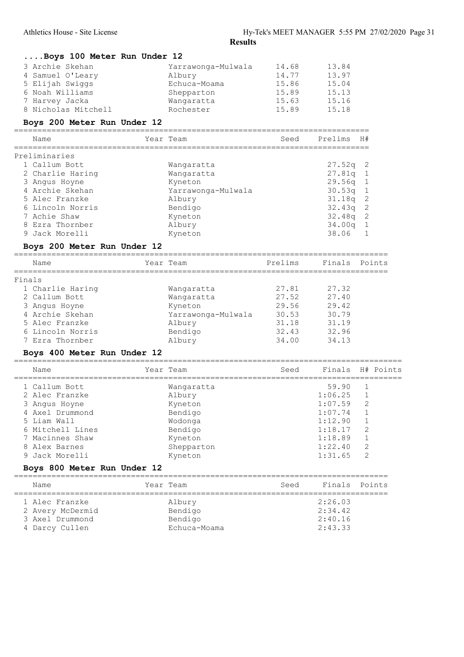| Boys 100 Meter Run Under 12 |  |  |  |
|-----------------------------|--|--|--|
|                             |  |  |  |

| 3 Archie Skehan     | Yarrawonga-Mulwala | 14.68 | 13.84 |
|---------------------|--------------------|-------|-------|
| 4 Samuel O'Leary    | Albury             | 14.77 | 13.97 |
| 5 Elijah Swiggs     | Echuca-Moama       | 15.86 | 15.04 |
| 6 Noah Williams     | Shepparton         | 15.89 | 15.13 |
| 7 Harvey Jacka      | Wangaratta         | 15.63 | 15.16 |
| 8 Nicholas Mitchell | Rochester          | 15.89 | 15.18 |

#### Boys 200 Meter Run Under 12

============================================================================ Name Year Team Seed Prelims H#

| $\overline{\phantom{0}}$ |  |
|--------------------------|--|

| 1 Callum Bott    | Wangaratta         | $27.52q$ 2 |
|------------------|--------------------|------------|
| 2 Charlie Haring | Wangaratta         | $27.81q$ 1 |
| 3 Angus Hoyne    | Kyneton            | $29.56q$ 1 |
| 4 Archie Skehan  | Yarrawonga-Mulwala | $30.53q$ 1 |
| 5 Alec Franzke   | Albury             | $31.18q$ 2 |
| 6 Lincoln Norris | Bendigo            | $32.43q$ 2 |
| 7 Achie Shaw     | Kyneton            | $32.48q$ 2 |
| 8 Ezra Thornber  | Albury             | $34.00q$ 1 |
| 9 Jack Morelli   | Kyneton            | 38.06      |

## Boys 200 Meter Run Under 12

|        | Name             | Year Team          | Prelims | Finals Points |  |
|--------|------------------|--------------------|---------|---------------|--|
| Finals |                  |                    |         |               |  |
|        | 1 Charlie Haring | Wangaratta         | 27.81   | 27.32         |  |
|        | 2 Callum Bott    | Wangaratta         | 27.52   | 27.40         |  |
|        | 3 Angus Hoyne    | Kyneton            | 29.56   | 29.42         |  |
|        | 4 Archie Skehan  | Yarrawonga-Mulwala | 30.53   | 30.79         |  |
|        | 5 Alec Franzke   | Albury             | 31.18   | 31.19         |  |
|        | 6 Lincoln Norris | Bendigo            | 32.43   | 32.96         |  |
|        | 7 Ezra Thornber  | Albury             | 34.00   | 34.13         |  |

## Boys 400 Meter Run Under 12

| Name             | Year Team  | Seed | Finals H# Points |              |  |
|------------------|------------|------|------------------|--------------|--|
| 1 Callum Bott    | Wangaratta |      | 59.90            |              |  |
| 2 Alec Franzke   | Albury     |      | 1:06.25          |              |  |
| 3 Angus Hoyne    | Kyneton    |      | 1:07.59          | -2           |  |
| 4 Axel Drummond  | Bendigo    |      | 1:07.74          |              |  |
| 5 Liam Wall      | Wodonga    |      | 1:12.90          | $\mathbf{1}$ |  |
| 6 Mitchell Lines | Bendigo    |      | 1:18.17          | 2            |  |
| 7 Macinnes Shaw  | Kyneton    |      | 1:18.89          | $\mathbf{1}$ |  |
| 8 Alex Barnes    | Shepparton |      | 1:22.40          | 2            |  |
| 9 Jack Morelli   | Kyneton    |      | 1:31.65          | 2            |  |
|                  |            |      |                  |              |  |

## Boys 800 Meter Run Under 12

| Name             | Year Team    | Seed | Finals Points |  |
|------------------|--------------|------|---------------|--|
| 1 Alec Franzke   | Albury       |      | 2:26.03       |  |
| 2 Avery McDermid | Bendigo      |      | 2:34.42       |  |
| 3 Axel Drummond  | Bendigo      |      | 2:40.16       |  |
| 4 Darcy Cullen   | Echuca-Moama |      | 2:43.33       |  |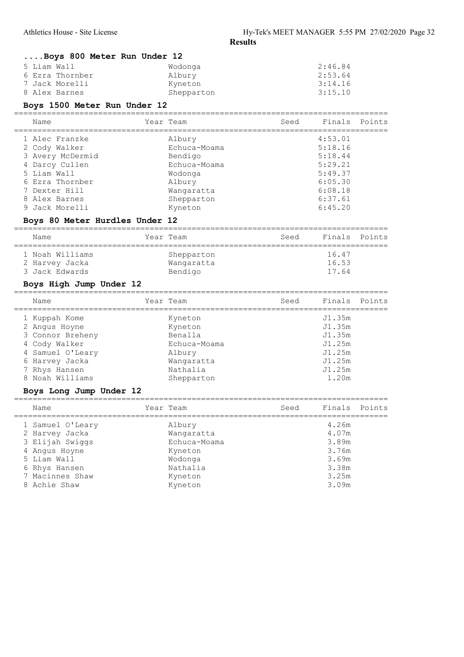## ....Boys 800 Meter Run Under 12

| 5 Liam Wall     | Wodonga    | 2:46.84 |
|-----------------|------------|---------|
| 6 Ezra Thornber | Albury     | 2:53.64 |
| 7 Jack Morelli  | Kyneton    | 3:14.16 |
| 8 Alex Barnes   | Shepparton | 3:15.10 |

## Boys 1500 Meter Run Under 12

| Name             | Year Team    | Seed | Finals Points |  |
|------------------|--------------|------|---------------|--|
| 1 Alec Franzke   | Albury       |      | 4:53.01       |  |
| 2 Cody Walker    | Echuca-Moama |      | 5:18.16       |  |
| 3 Avery McDermid | Bendigo      |      | 5:18.44       |  |
| 4 Darcy Cullen   | Echuca-Moama |      | 5:29.21       |  |
| 5 Liam Wall      | Wodonga      |      | 5:49.37       |  |
| 6 Ezra Thornber  | Albury       |      | 6:05.30       |  |
| 7 Dexter Hill    | Wangaratta   |      | 6:08.18       |  |
| 8 Alex Barnes    | Shepparton   |      | 6:37.61       |  |
| 9 Jack Morelli   | Kyneton      |      | 6:45.20       |  |
|                  |              |      |               |  |

## Boys 80 Meter Hurdles Under 12

| Name                                                | Year Team                           | Seed | Finals Points           |  |
|-----------------------------------------------------|-------------------------------------|------|-------------------------|--|
| 1 Noah Williams<br>2 Harvey Jacka<br>3 Jack Edwards | Shepparton<br>Wangaratta<br>Bendigo |      | 16.47<br>16.53<br>17.64 |  |

## Boys High Jump Under 12

| Name             | Year Team    | Seed | Finals Points |  |
|------------------|--------------|------|---------------|--|
| 1 Kuppah Kome    | Kyneton      |      | J1.35m        |  |
| 2 Angus Hoyne    | Kyneton      |      | J1.35m        |  |
| 3 Connor Breheny | Benalla      |      | J1.35m        |  |
| 4 Cody Walker    | Echuca-Moama |      | J1.25m        |  |
| 4 Samuel O'Leary | Albury       |      | J1.25m        |  |
| 6 Harvey Jacka   | Wangaratta   |      | J1.25m        |  |
| 7 Rhys Hansen    | Nathalia     |      | J1.25m        |  |
| 8 Noah Williams  | Shepparton   |      | 1.20m         |  |
|                  |              |      |               |  |

## Boys Long Jump Under 12

| Name             | Year Team    | Seed | Finals Points |  |
|------------------|--------------|------|---------------|--|
| 1 Samuel O'Leary | Albury       |      | 4.26m         |  |
| 2 Harvey Jacka   | Wangaratta   |      | 4.07m         |  |
| 3 Elijah Swiggs  | Echuca-Moama |      | 3.89m         |  |
| 4 Angus Hoyne    | Kyneton      |      | 3.76m         |  |
| 5 Liam Wall      | Wodonga      |      | 3.69m         |  |
| 6 Rhys Hansen    | Nathalia     |      | 3.38m         |  |
| 7 Macinnes Shaw  | Kyneton      |      | 3.25m         |  |
| 8 Achie Shaw     | Kyneton      |      | 3.09m         |  |
|                  |              |      |               |  |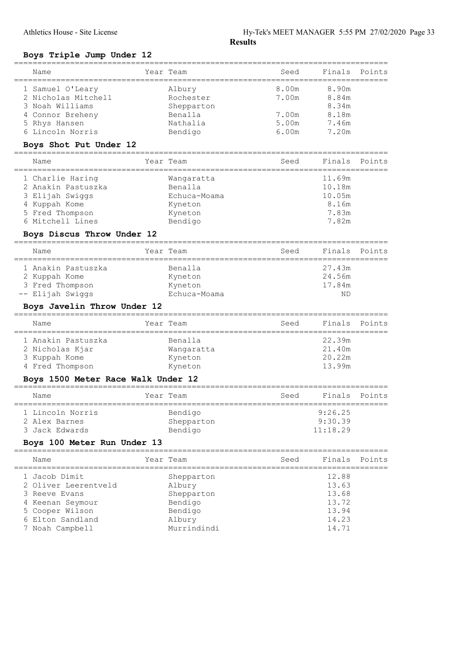## Boys Triple Jump Under 12

|   | Name                       | Year Team    | Seed        | Finals | Points |
|---|----------------------------|--------------|-------------|--------|--------|
|   | 1 Samuel O'Leary           | Albury       | 8.00m       | 8.90m  |        |
|   | 2 Nicholas Mitchell        | Rochester    | 7.00m       | 8.84m  |        |
|   | 3 Noah Williams            | Shepparton   |             | 8.34m  |        |
|   | 4 Connor Breheny           | Benalla      | 7.00m       | 8.18m  |        |
|   | 5 Rhys Hansen              | Nathalia     | 5.00m 7.46m |        |        |
|   | 6 Lincoln Norris           | Bendigo      | 6.00m       | 7.20m  |        |
|   | Boys Shot Put Under 12     |              |             |        |        |
|   | Name                       | Year Team    | Seed        | Finals | Points |
|   | 1 Charlie Haring           | Wangaratta   |             | 11.69m |        |
|   | 2 Anakin Pastuszka         | Benalla      |             | 10.18m |        |
| 3 | Elijah Swiggs              | Echuca-Moama |             | 10.05m |        |
|   | 4 Kuppah Kome              | Kyneton      |             | 8.16m  |        |
|   | 5 Fred Thompson            | Kyneton      |             | 7.83m  |        |
|   | 6 Mitchell Lines           | Bendigo      |             | 7.82m  |        |
|   | Boys Discus Throw Under 12 |              |             |        |        |
|   | Name                       | Year Team    | Seed        | Finals | Points |
|   | 1 Anakin Pastuszka         | Benalla      |             | 27.43m |        |
| 2 | Kuppah Kome                | Kyneton      |             | 24.56m |        |
|   | 3 Fred Thompson            | Kyneton      |             | 17.84m |        |

# -- Elijah Swiggs Echuca-Moama ND

## Boys Javelin Throw Under 12

| Name                             | Year Team             | Seed | Finals Points    |  |
|----------------------------------|-----------------------|------|------------------|--|
| 1 Anakin Pastuszka               | Benalla               |      | 22.39m<br>21.40m |  |
| 2 Nicholas Kjar<br>3 Kuppah Kome | Wangaratta<br>Kyneton |      | 20.22m           |  |
| 4 Fred Thompson                  | Kyneton               |      | 13.99m           |  |

# Boys 1500 Meter Race Walk Under 12

| Name                            | Year Team             | Seed | Finals Points       |  |
|---------------------------------|-----------------------|------|---------------------|--|
| 1 Lincoln Norris                | Bendigo               |      | 9:26.25             |  |
| 2 Alex Barnes<br>3 Jack Edwards | Shepparton<br>Bendigo |      | 9:30.39<br>11:18.29 |  |
|                                 |                       |      |                     |  |

## Boys 100 Meter Run Under 13

| Name                 | Year Team   | Seed | Finals Points |  |
|----------------------|-------------|------|---------------|--|
| 1 Jacob Dimit        | Shepparton  |      | 12.88         |  |
| 2 Oliver Leerentveld | Albury      |      | 13.63         |  |
| 3 Reeve Evans        | Shepparton  |      | 13.68         |  |
| 4 Keenan Seymour     | Bendigo     |      | 13.72         |  |
| 5 Cooper Wilson      | Bendigo     |      | 13.94         |  |
| 6 Elton Sandland     | Albury      |      | 14.23         |  |
| 7 Noah Campbell      | Murrindindi |      | 14.71         |  |
|                      |             |      |               |  |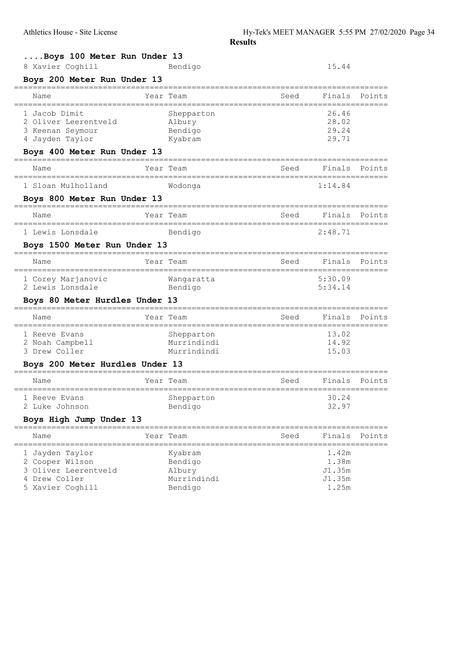| Boys 100 Meter Run Under 13     |             |      |               |        |
|---------------------------------|-------------|------|---------------|--------|
| 8 Xavier Coghill                | Bendigo     |      | 15.44         |        |
| Boys 200 Meter Run Under 13     |             |      |               |        |
| Name                            | Year Team   | Seed | Finals        | Points |
| 1 Jacob Dimit                   | Shepparton  |      | 26.46         |        |
| 2 Oliver Leerentveld            | Albury      |      | 28.02         |        |
| 3 Keenan Seymour                | Bendigo     |      | 29.24         |        |
| 4 Jayden Taylor                 | Kyabram     |      | 29.71         |        |
| Boys 400 Meter Run Under 13     |             |      |               |        |
| Name                            | Year Team   | Seed | Finals Points |        |
| 1 Sloan Mulholland              | Wodonga     |      | 1:14.84       |        |
| Boys 800 Meter Run Under 13     |             |      |               |        |
| Name                            | Year Team   | Seed | Finals        | Points |
| 1 Lewis Lonsdale                | Bendigo     |      | 2:48.71       |        |
| Boys 1500 Meter Run Under 13    |             |      |               |        |
| Name                            | Year Team   | Seed | Finals        | Points |
| 1 Corey Marjanovic              | Wangaratta  |      | 5:30.09       |        |
| 2 Lewis Lonsdale                | Bendigo     |      | 5:34.14       |        |
| Boys 80 Meter Hurdles Under 13  |             |      |               |        |
| Name                            | Year Team   | Seed | Finals        | Points |
| 1 Reeve Evans                   | Shepparton  |      | 13.02         |        |
| 2 Noah Campbell                 | Murrindindi |      | 14.92         |        |
| 3 Drew Coller                   | Murrindindi |      | 15.03         |        |
| Boys 200 Meter Hurdles Under 13 |             |      |               |        |
| Name                            | Year Team   | Seed | Finals        | Points |
| 1 Reeve Evans                   | Shepparton  |      | 30.24         |        |
| 2 Luke Johnson                  | Bendigo     |      | 32.97         |        |
| Boys High Jump Under 13         |             |      |               |        |
| Name                            | Year Team   | Seed | Finals        | Points |
| 1 Jayden Taylor                 | Kyabram     |      | 1.42m         |        |
| 2 Cooper Wilson                 | Bendigo     |      | 1.38m         |        |
| 3 Oliver Leerentveld            | Albury      |      | J1.35m        |        |
| Drew Coller<br>4                | Murrindindi |      | J1.35m        |        |
| 5 Xavier Coghill                | Bendigo     |      | 1.25m         |        |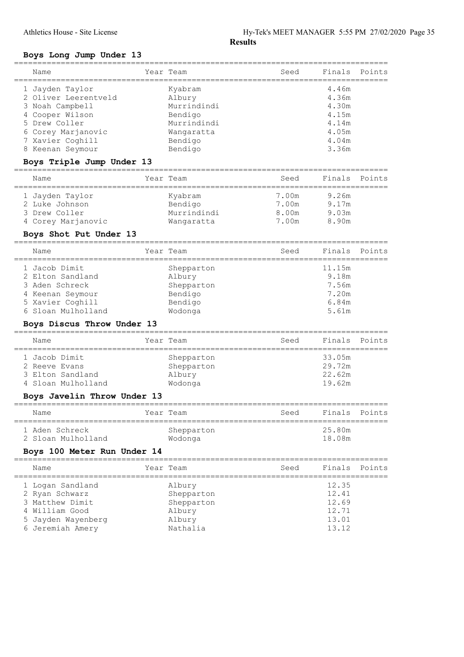## Boys Long Jump Under 13

| Name                 | Year Team   | Seed | Finals Points |  |
|----------------------|-------------|------|---------------|--|
| 1 Jayden Taylor      | Kyabram     |      | 4.46m         |  |
| 2 Oliver Leerentveld | Albury      |      | 4.36m         |  |
| 3 Noah Campbell      | Murrindindi |      | 4.30m         |  |
| 4 Cooper Wilson      | Bendigo     |      | 4.15m         |  |
| 5 Drew Coller        | Murrindindi |      | 4.14m         |  |
| 6 Corey Marjanovic   | Wangaratta  |      | 4.05m         |  |
| 7 Xavier Coghill     | Bendigo     |      | 4.04m         |  |
| 8 Keenan Seymour     | Bendigo     |      | 3.36m         |  |
|                      |             |      |               |  |

## Boys Triple Jump Under 13

| Name               | Year Team   | Seed  | Finals Points |  |
|--------------------|-------------|-------|---------------|--|
| 1 Jayden Taylor    | Kyabram     | 7.00m | 9.26m         |  |
| 2 Luke Johnson     | Bendigo     | 7.00m | 9.17m         |  |
| 3 Drew Coller      | Murrindindi | 8.00m | 9.03m         |  |
| 4 Corey Marjanovic | Wangaratta  | 7.00m | 8.90m         |  |

## Boys Shot Put Under 13

| Name               | Year Team  | Seed | Finals Points |  |
|--------------------|------------|------|---------------|--|
| 1 Jacob Dimit      | Shepparton |      | 11.15m        |  |
| 2 Elton Sandland   | Albury     |      | 9.18m         |  |
| 3 Aden Schreck     | Shepparton |      | 7.56m         |  |
| 4 Keenan Seymour   | Bendigo    |      | 7.20m         |  |
| 5 Xavier Coghill   | Bendigo    |      | 6.84m         |  |
| 6 Sloan Mulholland | Wodonga    |      | 5.61m         |  |
|                    |            |      |               |  |

## Boys Discus Throw Under 13

| Name          |                    | Year Team  | Seed | Finals Points |  |
|---------------|--------------------|------------|------|---------------|--|
| 1 Jacob Dimit |                    | Shepparton |      | 33.05m        |  |
| 2 Reeve Evans |                    | Shepparton |      | 29.72m        |  |
|               | 3 Elton Sandland   | Albury     |      | 22.62m        |  |
|               | 4 Sloan Mulholland | Wodonga    |      | 19.62m        |  |

## Boys Javelin Throw Under 13

| Name                                 | Year Team             | Seed | Finals Points    |  |
|--------------------------------------|-----------------------|------|------------------|--|
| 1 Aden Schreck<br>2 Sloan Mulholland | Shepparton<br>Wodonga |      | 25.80m<br>18.08m |  |

## Boys 100 Meter Run Under 14

| Name               | Year Team  | Seed | Finals Points |  |
|--------------------|------------|------|---------------|--|
| 1 Logan Sandland   | Albury     |      | 12.35         |  |
| 2 Ryan Schwarz     | Shepparton |      | 12.41         |  |
| 3 Matthew Dimit    | Shepparton |      | 12.69         |  |
| 4 William Good     | Albury     |      | 12.71         |  |
| 5 Jayden Wayenberg | Albury     |      | 13.01         |  |
| 6 Jeremiah Amery   | Nathalia   |      | 13.12         |  |
|                    |            |      |               |  |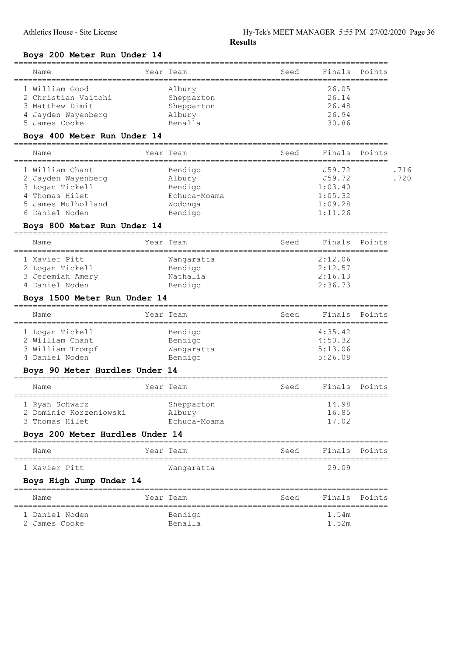## Boys 200 Meter Run Under 14

| Name                                                     | Year Team                      | Seed              | Finals                  | Points        |
|----------------------------------------------------------|--------------------------------|-------------------|-------------------------|---------------|
| 1 William Good<br>2 Christian Vaitohi<br>3 Matthew Dimit | Albury<br>Shepparton           |                   | 26.05<br>26.14<br>26.48 |               |
| 4 Jayden Wayenberg                                       | Shepparton<br>Albury           |                   | 26.94                   |               |
| 5 James Cooke                                            | Benalla                        |                   | 30.86                   |               |
| Boys 400 Meter Run Under 14                              |                                |                   |                         |               |
| Name<br>=====================                            | Year Team                      | Seed              | Finals                  | Points        |
| 1 William Chant                                          | Bendigo                        |                   | J59.72                  | .716          |
| 2 Jayden Wayenberg                                       | Albury                         |                   | J59.72                  | .720          |
| 3 Logan Tickell<br>4 Thomas Hilet                        | Bendigo<br>Echuca-Moama        |                   | 1:03.40<br>1:05.32      |               |
| 5 James Mulholland                                       | Wodonga                        |                   | 1:09.28                 |               |
| 6 Daniel Noden                                           | Bendigo                        |                   | 1:11.26                 |               |
| Boys 800 Meter Run Under 14                              |                                |                   |                         |               |
| Name                                                     | Year Team                      | Seed              | Finals                  | Points        |
| 1 Xavier Pitt                                            | Wangaratta                     |                   | 2:12.06                 |               |
| 2 Logan Tickell                                          | Bendigo                        |                   | 2:12.57                 |               |
| 3 Jeremiah Amery                                         | Nathalia                       |                   | 2:16.13                 |               |
| 4 Daniel Noden                                           | Bendigo                        |                   | 2:36.73                 |               |
| Boys 1500 Meter Run Under 14                             |                                |                   |                         |               |
| Name                                                     | Year Team                      | Seed              | Finals                  | Points        |
|                                                          |                                |                   |                         |               |
| 1 Logan Tickell                                          | Bendigo                        |                   | 4:35.42                 |               |
| 2 William Chant                                          | Bendigo                        |                   | 4:50.32                 |               |
| 3 William Trompf                                         | Wangaratta                     |                   | 5:13.06                 |               |
| 4 Daniel Noden<br>Boys 90 Meter Hurdles Under 14         | Bendigo                        |                   | 5:26.08                 |               |
| Name                                                     | Year Team                      | Seed              | Finals                  | Points        |
| -----------------<br>1 Ryan Schwarz                      | ================<br>Shepparton |                   | 14.98                   |               |
| 2 Dominic Korzeniowski                                   | Albury                         |                   | 16.85                   |               |
| 3 Thomas Hilet                                           | Echuca-Moama                   |                   | 17.02                   |               |
| Boys 200 Meter Hurdles Under 14<br>===============       | ==================             | ================= |                         |               |
| Name                                                     | Year Team                      | Seed              | Finals Points           |               |
| 1 Xavier Pitt                                            | Wangaratta                     |                   | 29.09                   |               |
| Boys High Jump Under 14                                  |                                |                   |                         |               |
| Name                                                     | Year Team                      | Seed              |                         | Finals Points |
| 1 Daniel Noden                                           | Bendigo                        |                   | 1.54m                   |               |
| 2 James Cooke                                            | Benalla                        |                   | 1.52m                   |               |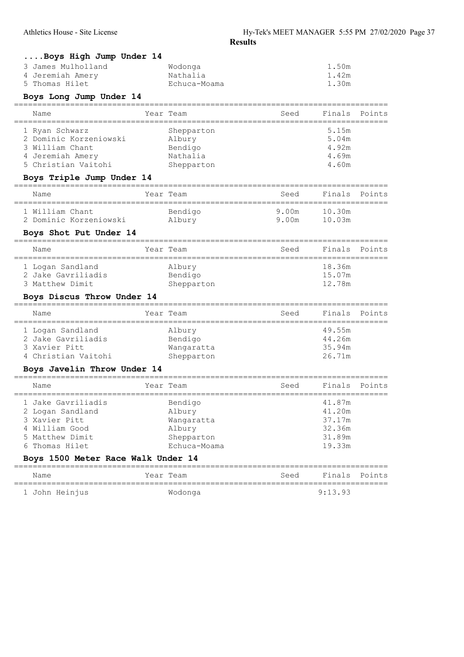| Boys High Jump Under 14                 |                            |                                           |                  |        |
|-----------------------------------------|----------------------------|-------------------------------------------|------------------|--------|
| 3 James Mulholland<br>4 Jeremiah Amery  | Wodonga<br>Nathalia        |                                           | 1.50m<br>1.42m   |        |
| 5 Thomas Hilet                          | Echuca-Moama               |                                           | 1.30m            |        |
| Boys Long Jump Under 14                 |                            |                                           |                  |        |
| .=============<br>Name                  | Year Team                  | Seed                                      | Finals           | Points |
| 1 Ryan Schwarz                          | Shepparton                 |                                           | 5.15m            |        |
| 2 Dominic Korzeniowski                  | Albury                     |                                           | 5.04m            |        |
| 3 William Chant                         | Bendigo                    |                                           | 4.92m            |        |
| 4 Jeremiah Amery<br>5 Christian Vaitohi | Nathalia<br>Shepparton     |                                           | 4.69m<br>4.60m   |        |
| Boys Triple Jump Under 14               |                            |                                           |                  |        |
| Name                                    | Year Team                  | Seed                                      | Finals           | Points |
| 1 William Chant                         | Bendigo                    | 9.00m                                     | 10.30m           |        |
| 2 Dominic Korzeniowski                  | Albury                     | 9.00m                                     | 10.03m           |        |
| Boys Shot Put Under 14                  |                            |                                           |                  |        |
| Name                                    | Year Team                  | Seed<br>============================      | Finals           | Points |
| 1 Logan Sandland                        | Albury                     |                                           | 18.36m           |        |
| 2 Jake Gavriliadis                      | Bendigo                    |                                           | 15.07m           |        |
| 3 Matthew Dimit                         | Shepparton                 |                                           | 12.78m           |        |
| Boys Discus Throw Under 14              |                            |                                           |                  |        |
| Name                                    | Year Team                  | Seed<br>================================= | Finals           | Points |
| 1 Logan Sandland                        | Albury                     |                                           | 49.55m           |        |
| 2 Jake Gavriliadis                      | Bendigo                    |                                           | 44.26m           |        |
| 3 Xavier Pitt                           | Wangaratta                 |                                           | 35.94m           |        |
| 4 Christian Vaitohi                     | Shepparton                 |                                           | 26.71m           |        |
| Boys Javelin Throw Under 14             |                            |                                           |                  |        |
| Name                                    | Year Team                  | Seed                                      | Finals           | Points |
| 1 Jake Gavriliadis                      | Bendigo                    |                                           | 41.87m           |        |
| 2 Logan Sandland                        | Albury                     |                                           | 41.20m           |        |
| 3 Xavier Pitt                           | Wangaratta                 |                                           | 37.17m           |        |
| 4 William Good<br>5 Matthew Dimit       | Albury                     |                                           | 32.36m           |        |
| 6 Thomas Hilet                          | Shepparton<br>Echuca-Moama |                                           | 31.89m<br>19.33m |        |
| Boys 1500 Meter Race Walk Under 14      |                            |                                           |                  |        |
| Name                                    | Year Team                  | Seed                                      | Finals           | Points |
|                                         |                            |                                           |                  |        |
| 1 John Heinjus                          | Wodonga                    |                                           | 9:13.93          |        |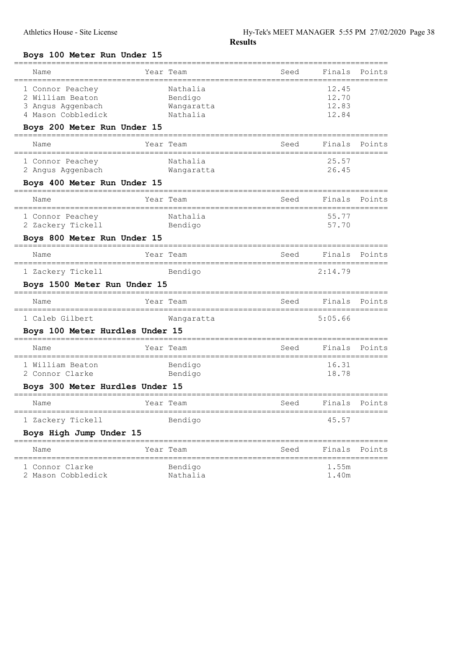## Boys 100 Meter Run Under 15

| Name                                                                                | Year Team                                     | Seed           | Finals                           | Points |
|-------------------------------------------------------------------------------------|-----------------------------------------------|----------------|----------------------------------|--------|
| 1 Connor Peachey<br>2 William Beaton<br>3 Angus Aggenbach<br>4 Mason Cobbledick     | Nathalia<br>Bendigo<br>Wangaratta<br>Nathalia |                | 12.45<br>12.70<br>12.83<br>12.84 |        |
| Boys 200 Meter Run Under 15<br>Name                                                 | Year Team                                     | Seed           | Finals                           | Points |
| 1 Connor Peachey<br>2 Angus Aggenbach                                               | Nathalia<br>Wangaratta                        |                | 25.57<br>26.45                   |        |
| Boys 400 Meter Run Under 15<br>------------------------------------                 |                                               |                |                                  |        |
| Name                                                                                | Year Team                                     | Seed           | Finals                           | Points |
| ==========================<br>------------<br>1 Connor Peachey<br>2 Zackery Tickell | Nathalia<br>Bendigo                           | -------------- | 55.77<br>57.70                   |        |
| Boys 800 Meter Run Under 15<br>-----------------                                    |                                               |                |                                  |        |
| Name                                                                                | Year Team                                     | Seed           | Finals                           | Points |
| 1 Zackery Tickell                                                                   | Bendigo                                       |                | 2:14.79                          |        |
| Boys 1500 Meter Run Under 15<br>-----------------------------                       |                                               |                |                                  |        |
| Name                                                                                | Year Team                                     | Seed           | Finals                           | Points |
| 1 Caleb Gilbert                                                                     | Wangaratta                                    |                | 5:05.66                          |        |
| Boys 100 Meter Hurdles Under 15                                                     |                                               |                |                                  |        |
| Name                                                                                | Year Team                                     | Seed           | Finals                           | Points |
| 1 William Beaton<br>2 Connor Clarke                                                 | Bendigo<br>Bendigo                            |                | 16.31<br>18.78                   |        |
| Boys 300 Meter Hurdles Under 15                                                     |                                               |                |                                  |        |
| Name                                                                                | Year Team                                     | Seed           | Finals                           | Points |
| 1 Zackery Tickell                                                                   | Bendigo                                       |                | 45.57                            |        |
| Boys High Jump Under 15                                                             |                                               |                |                                  |        |
| Name                                                                                | Year Team                                     | Seed           | Finals                           | Points |
| 1 Connor Clarke<br>2 Mason Cobbledick                                               | Bendigo<br>Nathalia                           |                | 1.55m<br>1.40m                   |        |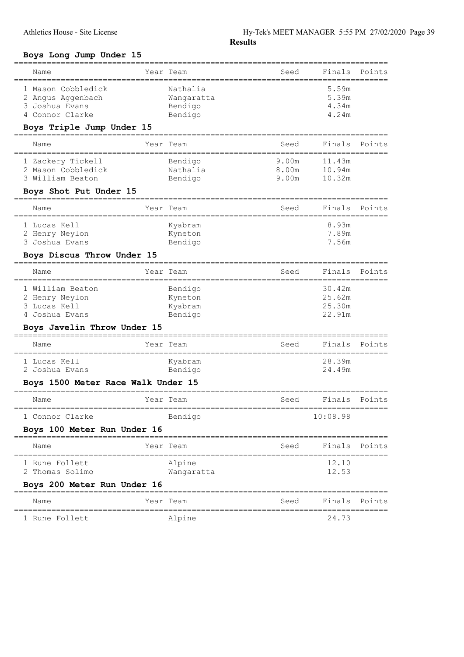## Boys Long Jump Under 15

|                                                                                                     |          | ============                                 |                         |                                      |        |
|-----------------------------------------------------------------------------------------------------|----------|----------------------------------------------|-------------------------|--------------------------------------|--------|
| Name                                                                                                |          | Year Team                                    | Seed                    | Finals                               | Points |
| 1 Mason Cobbledick<br>2 Angus Aggenbach<br>3 Joshua Evans<br>4 Connor Clarke                        |          | Nathalia<br>Wangaratta<br>Bendigo<br>Bendigo |                         | 5.59m<br>5.39m<br>4.34m<br>4.24m     |        |
| Boys Triple Jump Under 15                                                                           | -------- |                                              |                         |                                      |        |
| Name<br>.=======================                                                                    |          | Year Team                                    | Seed                    | Finals                               | Points |
| 1 Zackery Tickell<br>2 Mason Cobbledick<br>3 William Beaton                                         |          | Bendigo<br>Nathalia<br>Bendigo               | 9.00m<br>8.00m<br>9.00m | 11.43m<br>10.94m<br>10.32m           |        |
| Boys Shot Put Under 15                                                                              |          |                                              |                         |                                      |        |
| Name                                                                                                |          | Year Team                                    | Seed                    | Finals                               | Points |
| 1 Lucas Kell<br>2 Henry Neylon<br>3 Joshua Evans                                                    |          | Kyabram<br>Kyneton<br>Bendigo                |                         | 8.93m<br>7.89m<br>7.56m              |        |
| Boys Discus Throw Under 15                                                                          |          |                                              |                         |                                      |        |
| Name                                                                                                |          | Year Team                                    | Seed                    | Finals                               | Points |
| 1 William Beaton<br>2 Henry Neylon<br>3 Lucas Kell<br>4 Joshua Evans<br>Boys Javelin Throw Under 15 |          | Bendigo<br>Kyneton<br>Kyabram<br>Bendigo     |                         | 30.42m<br>25.62m<br>25.30m<br>22.91m |        |
| Name                                                                                                |          | Year Team                                    | Seed                    | Finals                               | Points |
| 1 Lucas Kell<br>2 Joshua Evans<br>Boys 1500 Meter Race Walk Under 15                                |          | Kyabram<br>Bendigo                           |                         | 28.39m<br>24.49m                     |        |
| Name                                                                                                |          | Year Team                                    | Seed                    | Finals                               | Points |
| 1 Connor Clarke                                                                                     |          | Bendigo                                      |                         | 10:08.98                             |        |
| Boys 100 Meter Run Under 16                                                                         |          |                                              |                         |                                      |        |
| Name                                                                                                |          | Year Team                                    | Seed                    | Finals                               | Points |
| 1 Rune Follett<br>2 Thomas Solimo                                                                   |          | Alpine<br>Wangaratta                         |                         | 12.10<br>12.53                       |        |
| Boys 200 Meter Run Under 16                                                                         |          |                                              |                         |                                      |        |
| Name                                                                                                |          | Year Team                                    | Seed                    | Finals                               | Points |
| 1 Rune Follett                                                                                      |          | Alpine                                       |                         | 24.73                                |        |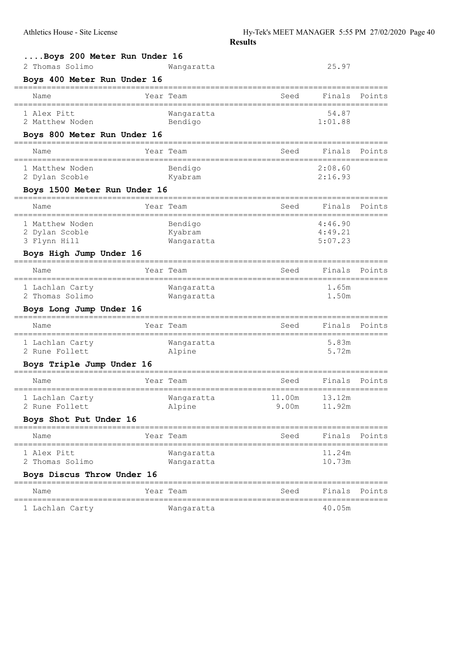| Boys 200 Meter Run Under 16                       |           |            |        |                    |               |
|---------------------------------------------------|-----------|------------|--------|--------------------|---------------|
| 2 Thomas Solimo<br>Boys 400 Meter Run Under 16    |           | Wangaratta |        | 25.97              |               |
| Name                                              | Year Team |            | Seed   | Finals             | Points        |
| 1 Alex Pitt                                       |           | Wanqaratta |        | 54.87              |               |
| 2 Matthew Noden                                   |           | Bendigo    |        | 1:01.88            |               |
| Boys 800 Meter Run Under 16                       |           |            |        |                    |               |
| Name                                              | Year Team |            | Seed   | Finals             | Points        |
| 1 Matthew Noden                                   |           | Bendigo    |        | 2:08.60            |               |
| 2 Dylan Scoble                                    |           | Kyabram    |        | 2:16.93            |               |
| Boys 1500 Meter Run Under 16                      |           |            |        |                    |               |
| Name                                              | Year Team |            | Seed   | Finals             | Points        |
| 1 Matthew Noden                                   |           | Bendigo    |        | 4:46.90            |               |
| 2 Dylan Scoble                                    |           | Kyabram    |        | 4:49.21<br>5:07.23 |               |
| 3 Flynn Hill<br>Boys High Jump Under 16           |           | Wangaratta |        |                    |               |
|                                                   |           |            |        |                    |               |
| Name                                              | Year Team |            | Seed   | Finals             | Points        |
| 1 Lachlan Carty                                   |           | Wangaratta |        | 1.65m              |               |
| 2 Thomas Solimo                                   |           | Wangaratta |        | 1.50m              |               |
| Boys Long Jump Under 16<br>====================== | ========  |            |        |                    |               |
| Name                                              | Year Team |            | Seed   | Finals             | Points        |
| 1 Lachlan Carty                                   |           | Wangaratta |        | 5.83m              |               |
| 2 Rune Follett                                    |           | Alpine     |        | 5.72m              |               |
| Boys Triple Jump Under 16                         |           |            |        |                    |               |
| Name                                              | Year Team |            | Seed   | Finals             | Points        |
| 1 Lachlan Carty                                   |           | Wangaratta | 11.00m | 13.12m             |               |
| 2 Rune Follett                                    |           | Alpine     | 9.00m  | 11.92m             |               |
| Boys Shot Put Under 16                            |           |            |        |                    |               |
| Name                                              | Year Team |            | Seed   | Finals             | Points        |
| 1 Alex Pitt                                       |           | Wangaratta |        | 11.24m             |               |
| 2 Thomas Solimo                                   |           | Wangaratta |        | 10.73m             |               |
| Boys Discus Throw Under 16                        |           |            |        |                    |               |
| Name                                              | Year Team |            | Seed   |                    | Finals Points |
| 1 Lachlan Carty                                   |           | Wangaratta |        | 40.05m             |               |